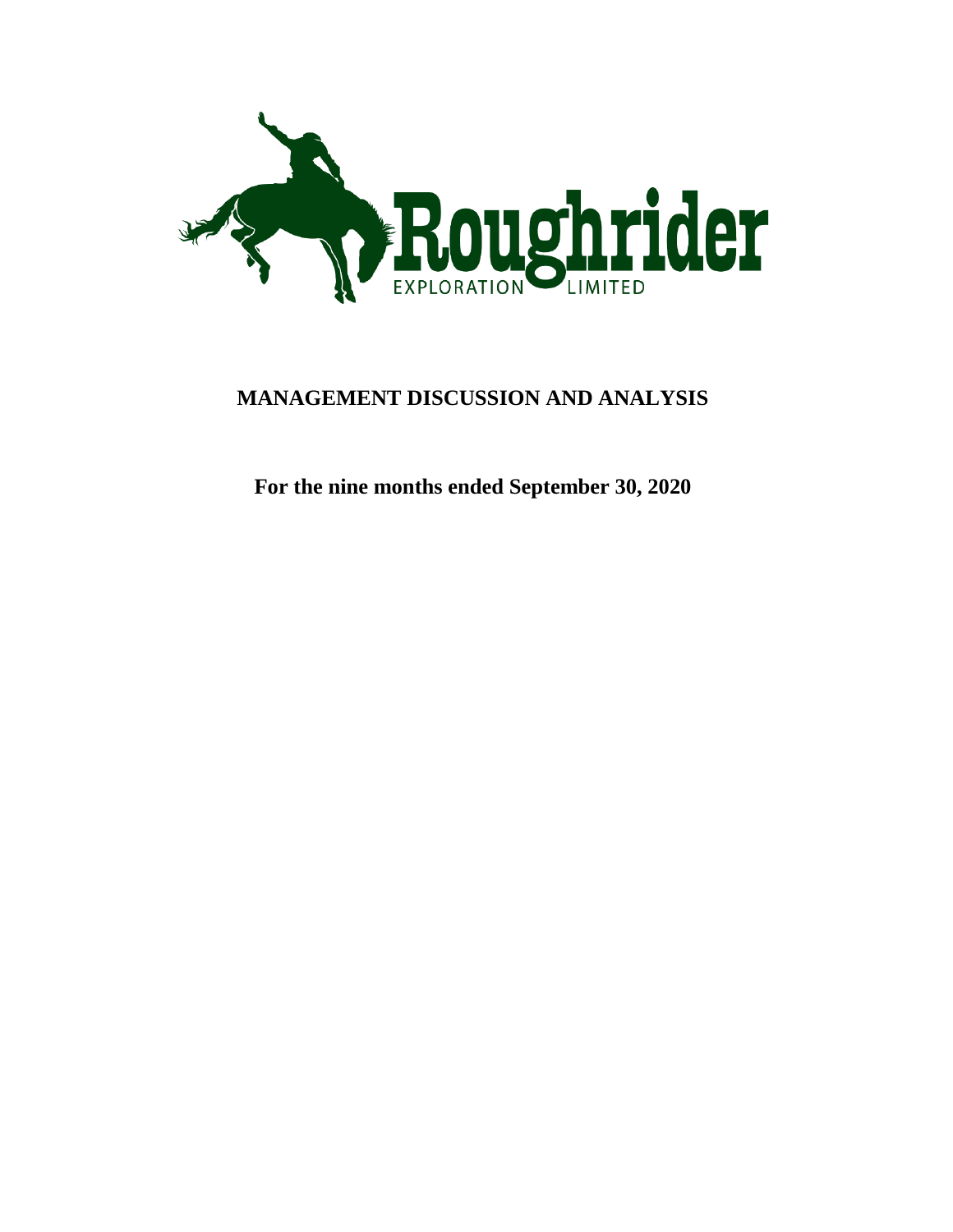

# **MANAGEMENT DISCUSSION AND ANALYSIS**

**For the nine months ended September 30, 2020**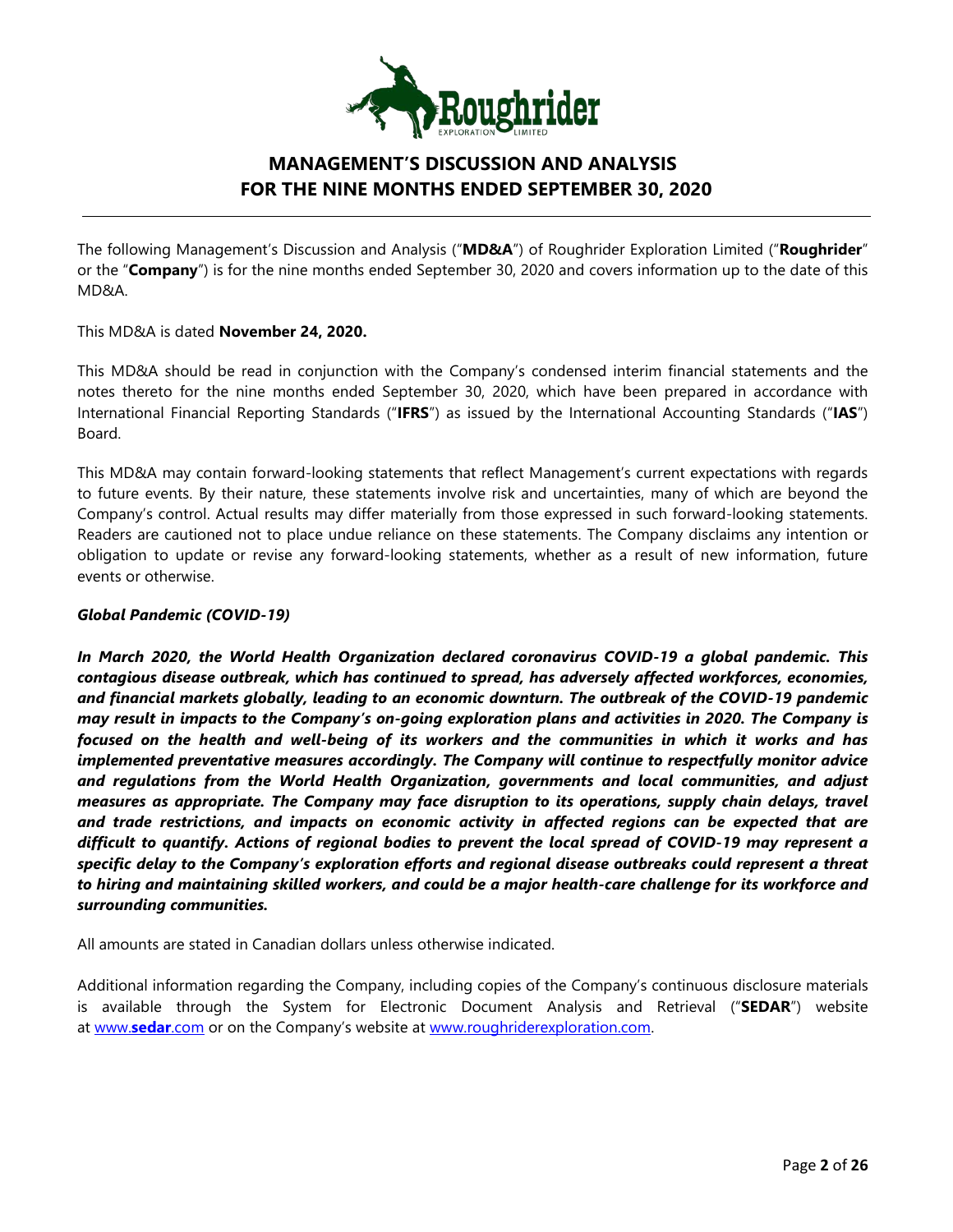

The following Management's Discussion and Analysis ("**MD&A**") of Roughrider Exploration Limited ("**Roughrider**" or the "**Company**") is for the nine months ended September 30, 2020 and covers information up to the date of this MD&A.

This MD&A is dated **November 24, 2020.**

This MD&A should be read in conjunction with the Company's condensed interim financial statements and the notes thereto for the nine months ended September 30, 2020, which have been prepared in accordance with International Financial Reporting Standards ("**IFRS**") as issued by the International Accounting Standards ("**IAS**") Board.

This MD&A may contain forward-looking statements that reflect Management's current expectations with regards to future events. By their nature, these statements involve risk and uncertainties, many of which are beyond the Company's control. Actual results may differ materially from those expressed in such forward-looking statements. Readers are cautioned not to place undue reliance on these statements. The Company disclaims any intention or obligation to update or revise any forward-looking statements, whether as a result of new information, future events or otherwise.

### *Global Pandemic (COVID-19)*

*In March 2020, the World Health Organization declared coronavirus COVID-19 a global pandemic. This contagious disease outbreak, which has continued to spread, has adversely affected workforces, economies, and financial markets globally, leading to an economic downturn. The outbreak of the COVID-19 pandemic may result in impacts to the Company's on-going exploration plans and activities in 2020. The Company is focused on the health and well-being of its workers and the communities in which it works and has implemented preventative measures accordingly. The Company will continue to respectfully monitor advice and regulations from the World Health Organization, governments and local communities, and adjust measures as appropriate. The Company may face disruption to its operations, supply chain delays, travel and trade restrictions, and impacts on economic activity in affected regions can be expected that are difficult to quantify. Actions of regional bodies to prevent the local spread of COVID-19 may represent a specific delay to the Company's exploration efforts and regional disease outbreaks could represent a threat to hiring and maintaining skilled workers, and could be a major health-care challenge for its workforce and surrounding communities.* 

All amounts are stated in Canadian dollars unless otherwise indicated.

Additional information regarding the Company, including copies of the Company's continuous disclosure materials is available through the System for Electronic Document Analysis and Retrieval ("**SEDAR**") website at [www.](http://www.sedar.com/)**sedar**.com or on the Company's website at [www.roughriderexploration.com.](http://www.roughriderexploration.com/)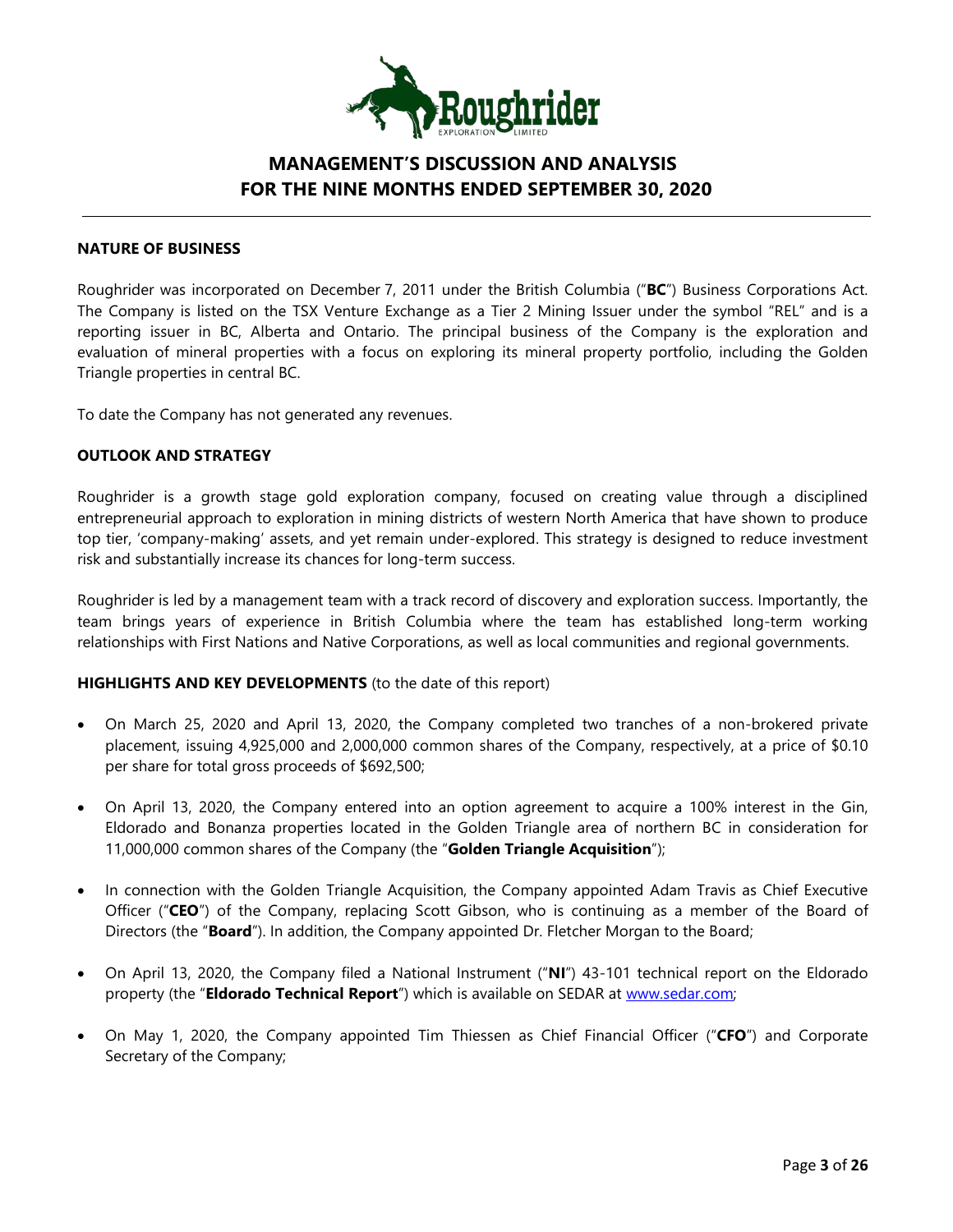

### **NATURE OF BUSINESS**

Roughrider was incorporated on December 7, 2011 under the British Columbia ("**BC**") Business Corporations Act. The Company is listed on the TSX Venture Exchange as a Tier 2 Mining Issuer under the symbol "REL" and is a reporting issuer in BC, Alberta and Ontario. The principal business of the Company is the exploration and evaluation of mineral properties with a focus on exploring its mineral property portfolio, including the Golden Triangle properties in central BC.

To date the Company has not generated any revenues.

### **OUTLOOK AND STRATEGY**

Roughrider is a growth stage gold exploration company, focused on creating value through a disciplined entrepreneurial approach to exploration in mining districts of western North America that have shown to produce top tier, 'company-making' assets, and yet remain under-explored. This strategy is designed to reduce investment risk and substantially increase its chances for long-term success.

Roughrider is led by a management team with a track record of discovery and exploration success. Importantly, the team brings years of experience in British Columbia where the team has established long-term working relationships with First Nations and Native Corporations, as well as local communities and regional governments.

#### **HIGHLIGHTS AND KEY DEVELOPMENTS** (to the date of this report)

- On March 25, 2020 and April 13, 2020, the Company completed two tranches of a non-brokered private placement, issuing 4,925,000 and 2,000,000 common shares of the Company, respectively, at a price of \$0.10 per share for total gross proceeds of \$692,500;
- On April 13, 2020, the Company entered into an option agreement to acquire a 100% interest in the Gin, Eldorado and Bonanza properties located in the Golden Triangle area of northern BC in consideration for 11,000,000 common shares of the Company (the "**Golden Triangle Acquisition**");
- In connection with the Golden Triangle Acquisition, the Company appointed Adam Travis as Chief Executive Officer ("**CEO**") of the Company, replacing Scott Gibson, who is continuing as a member of the Board of Directors (the "**Board**"). In addition, the Company appointed Dr. Fletcher Morgan to the Board;
- On April 13, 2020, the Company filed a National Instrument ("**NI**") 43-101 technical report on the Eldorado property (the "**Eldorado Technical Report**") which is available on SEDAR at [www.sedar.com;](http://www.sedar.com/)
- On May 1, 2020, the Company appointed Tim Thiessen as Chief Financial Officer ("**CFO**") and Corporate Secretary of the Company;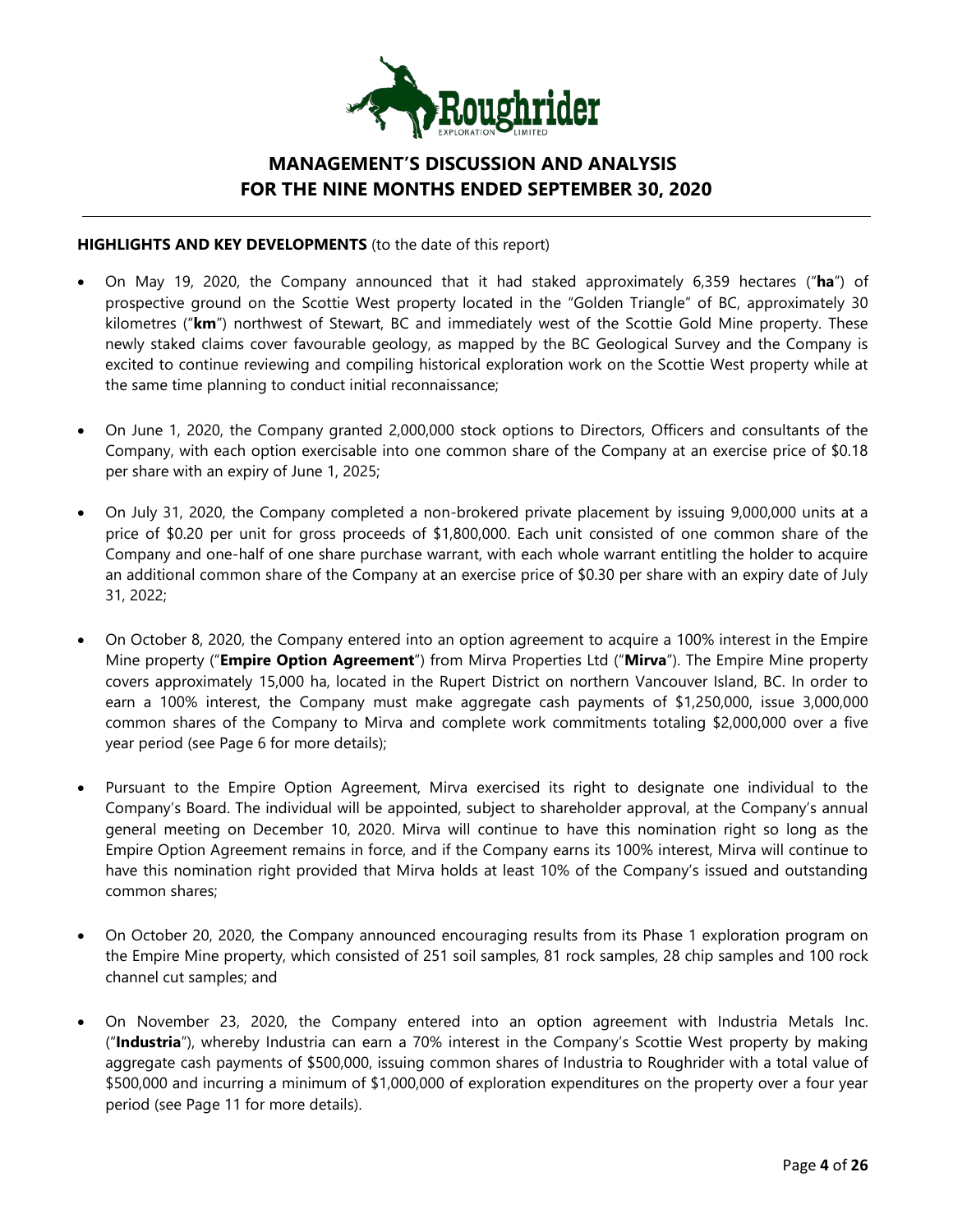

### **HIGHLIGHTS AND KEY DEVELOPMENTS** (to the date of this report)

- On May 19, 2020, the Company announced that it had staked approximately 6,359 hectares ("**ha**") of prospective ground on the Scottie West property located in the "Golden Triangle" of BC, approximately 30 kilometres ("**km**") northwest of Stewart, BC and immediately west of the Scottie Gold Mine property. These newly staked claims cover favourable geology, as mapped by the BC Geological Survey and the Company is excited to continue reviewing and compiling historical exploration work on the Scottie West property while at the same time planning to conduct initial reconnaissance;
- On June 1, 2020, the Company granted 2,000,000 stock options to Directors, Officers and consultants of the Company, with each option exercisable into one common share of the Company at an exercise price of \$0.18 per share with an expiry of June 1, 2025;
- On July 31, 2020, the Company completed a non-brokered private placement by issuing 9,000,000 units at a price of \$0.20 per unit for gross proceeds of \$1,800,000. Each unit consisted of one common share of the Company and one-half of one share purchase warrant, with each whole warrant entitling the holder to acquire an additional common share of the Company at an exercise price of \$0.30 per share with an expiry date of July 31, 2022;
- On October 8, 2020, the Company entered into an option agreement to acquire a 100% interest in the Empire Mine property ("**Empire Option Agreement**") from Mirva Properties Ltd ("**Mirva**"). The Empire Mine property covers approximately 15,000 ha, located in the Rupert District on northern Vancouver Island, BC. In order to earn a 100% interest, the Company must make aggregate cash payments of \$1,250,000, issue 3,000,000 common shares of the Company to Mirva and complete work commitments totaling \$2,000,000 over a five year period (see Page 6 for more details);
- Pursuant to the Empire Option Agreement, Mirva exercised its right to designate one individual to the Company's Board. The individual will be appointed, subject to shareholder approval, at the Company's annual general meeting on December 10, 2020. Mirva will continue to have this nomination right so long as the Empire Option Agreement remains in force, and if the Company earns its 100% interest, Mirva will continue to have this nomination right provided that Mirva holds at least 10% of the Company's issued and outstanding common shares;
- On October 20, 2020, the Company announced encouraging results from its Phase 1 exploration program on the Empire Mine property, which consisted of 251 soil samples, 81 rock samples, 28 chip samples and 100 rock channel cut samples; and
- On November 23, 2020, the Company entered into an option agreement with Industria Metals Inc. ("**Industria**"), whereby Industria can earn a 70% interest in the Company's Scottie West property by making aggregate cash payments of \$500,000, issuing common shares of Industria to Roughrider with a total value of \$500,000 and incurring a minimum of \$1,000,000 of exploration expenditures on the property over a four year period (see Page 11 for more details).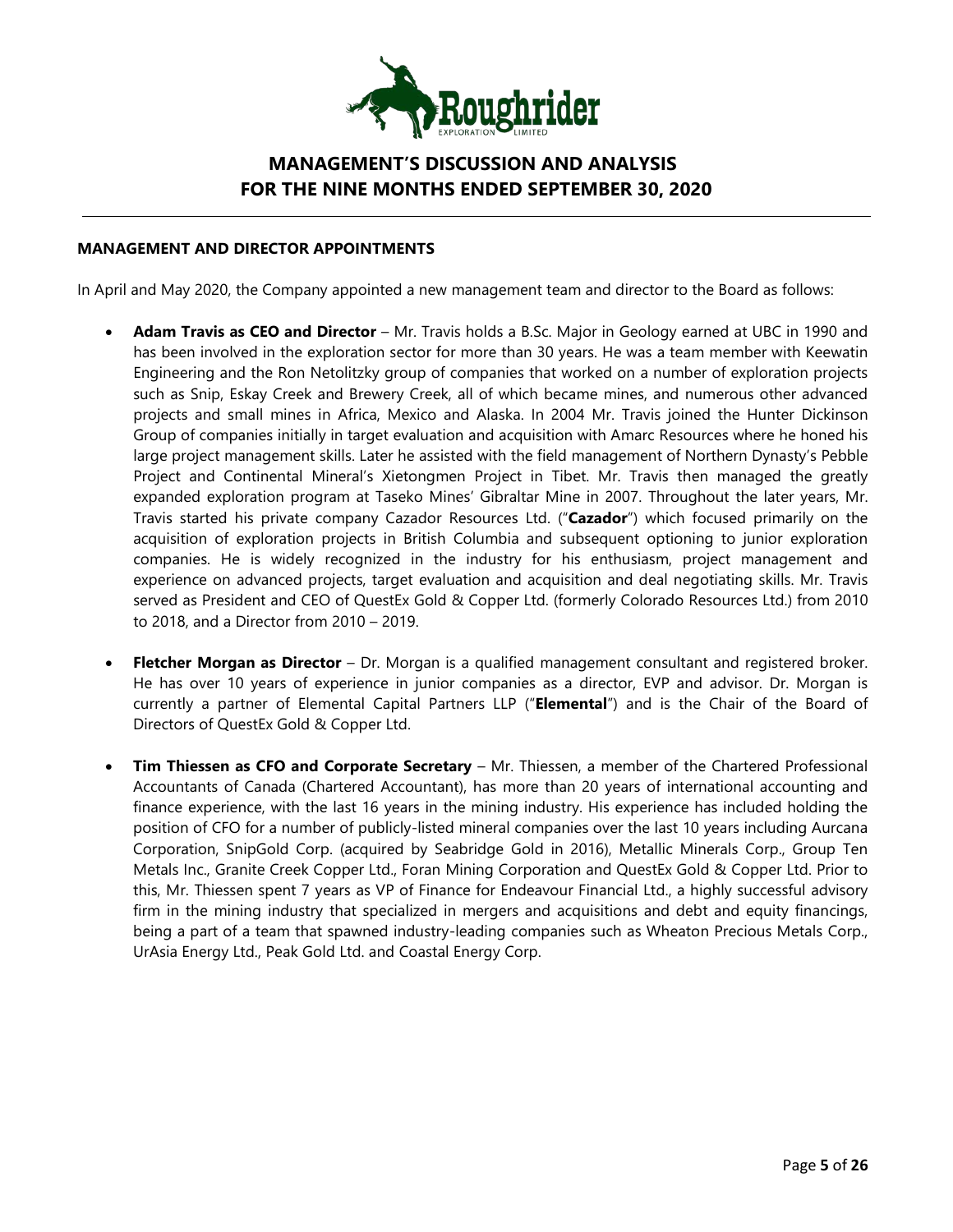

### **MANAGEMENT AND DIRECTOR APPOINTMENTS**

In April and May 2020, the Company appointed a new management team and director to the Board as follows:

- **Adam Travis as CEO and Director** Mr. Travis holds a B.Sc. Major in Geology earned at UBC in 1990 and has been involved in the exploration sector for more than 30 years. He was a team member with Keewatin Engineering and the Ron Netolitzky group of companies that worked on a number of exploration projects such as Snip, Eskay Creek and Brewery Creek, all of which became mines, and numerous other advanced projects and small mines in Africa, Mexico and Alaska. In 2004 Mr. Travis joined the Hunter Dickinson Group of companies initially in target evaluation and acquisition with Amarc Resources where he honed his large project management skills. Later he assisted with the field management of Northern Dynasty's Pebble Project and Continental Mineral's Xietongmen Project in Tibet. Mr. Travis then managed the greatly expanded exploration program at Taseko Mines' Gibraltar Mine in 2007. Throughout the later years, Mr. Travis started his private company Cazador Resources Ltd. ("**Cazador**") which focused primarily on the acquisition of exploration projects in British Columbia and subsequent optioning to junior exploration companies. He is widely recognized in the industry for his enthusiasm, project management and experience on advanced projects, target evaluation and acquisition and deal negotiating skills. Mr. Travis served as President and CEO of QuestEx Gold & Copper Ltd. (formerly Colorado Resources Ltd.) from 2010 to 2018, and a Director from 2010 – 2019.
- **Fletcher Morgan as Director** Dr. Morgan is a qualified management consultant and registered broker. He has over 10 years of experience in junior companies as a director, EVP and advisor. Dr. Morgan is currently a partner of Elemental Capital Partners LLP ("**Elemental**") and is the Chair of the Board of Directors of QuestEx Gold & Copper Ltd.
- **Tim Thiessen as CFO and Corporate Secretary** Mr. Thiessen, a member of the Chartered Professional Accountants of Canada (Chartered Accountant), has more than 20 years of international accounting and finance experience, with the last 16 years in the mining industry. His experience has included holding the position of CFO for a number of publicly-listed mineral companies over the last 10 years including Aurcana Corporation, SnipGold Corp. (acquired by Seabridge Gold in 2016), Metallic Minerals Corp., Group Ten Metals Inc., Granite Creek Copper Ltd., Foran Mining Corporation and QuestEx Gold & Copper Ltd. Prior to this, Mr. Thiessen spent 7 years as VP of Finance for Endeavour Financial Ltd., a highly successful advisory firm in the mining industry that specialized in mergers and acquisitions and debt and equity financings, being a part of a team that spawned industry-leading companies such as Wheaton Precious Metals Corp., UrAsia Energy Ltd., Peak Gold Ltd. and Coastal Energy Corp.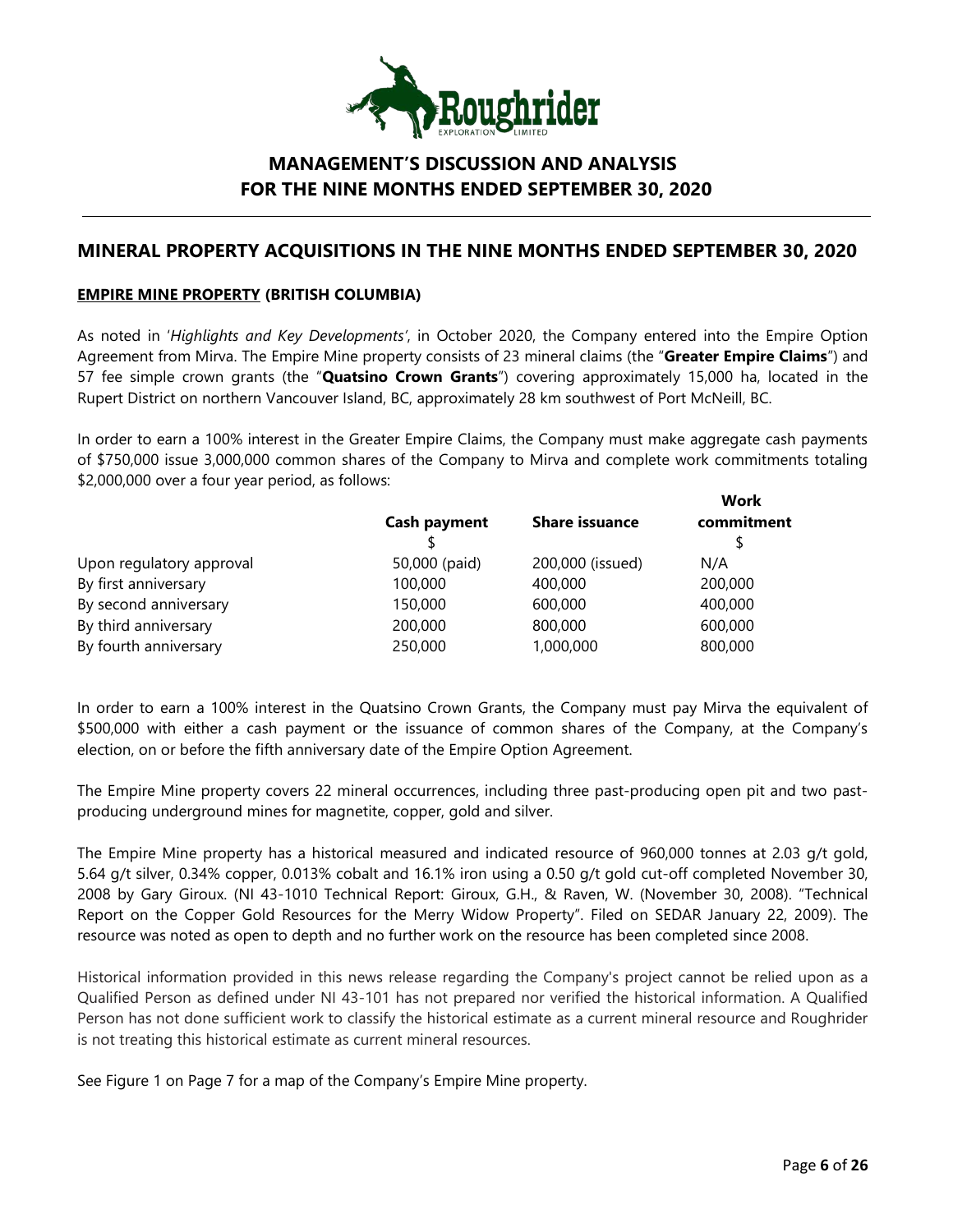

# **MINERAL PROPERTY ACQUISITIONS IN THE NINE MONTHS ENDED SEPTEMBER 30, 2020**

### **EMPIRE MINE PROPERTY (BRITISH COLUMBIA)**

As noted in '*Highlights and Key Developments'*, in October 2020, the Company entered into the Empire Option Agreement from Mirva. The Empire Mine property consists of 23 mineral claims (the "**Greater Empire Claims**") and 57 fee simple crown grants (the "**Quatsino Crown Grants**") covering approximately 15,000 ha, located in the Rupert District on northern Vancouver Island, BC, approximately 28 km southwest of Port McNeill, BC.

In order to earn a 100% interest in the Greater Empire Claims, the Company must make aggregate cash payments of \$750,000 issue 3,000,000 common shares of the Company to Mirva and complete work commitments totaling \$2,000,000 over a four year period, as follows:

| <b>Cash payment</b> | <b>Share issuance</b> | Work<br>commitment |
|---------------------|-----------------------|--------------------|
| 50,000 (paid)       | 200,000 (issued)      | N/A                |
| 100,000             | 400,000               | 200,000            |
| 150,000             | 600,000               | 400,000            |
| 200,000             | 800,000               | 600,000            |
| 250,000             | 1,000,000             | 800,000            |
|                     |                       |                    |

In order to earn a 100% interest in the Quatsino Crown Grants, the Company must pay Mirva the equivalent of \$500,000 with either a cash payment or the issuance of common shares of the Company, at the Company's election, on or before the fifth anniversary date of the Empire Option Agreement.

The Empire Mine property covers 22 mineral occurrences, including three past-producing open pit and two pastproducing underground mines for magnetite, copper, gold and silver.

The Empire Mine property has a historical measured and indicated resource of 960,000 tonnes at 2.03 g/t gold, 5.64 g/t silver, 0.34% copper, 0.013% cobalt and 16.1% iron using a 0.50 g/t gold cut-off completed November 30, 2008 by Gary Giroux. (NI 43-1010 Technical Report: Giroux, G.H., & Raven, W. (November 30, 2008). "Technical Report on the Copper Gold Resources for the Merry Widow Property". Filed on SEDAR January 22, 2009). The resource was noted as open to depth and no further work on the resource has been completed since 2008.

Historical information provided in this news release regarding the Company's project cannot be relied upon as a Qualified Person as defined under NI 43-101 has not prepared nor verified the historical information. A Qualified Person has not done sufficient work to classify the historical estimate as a current mineral resource and Roughrider is not treating this historical estimate as current mineral resources.

See Figure 1 on Page 7 for a map of the Company's Empire Mine property.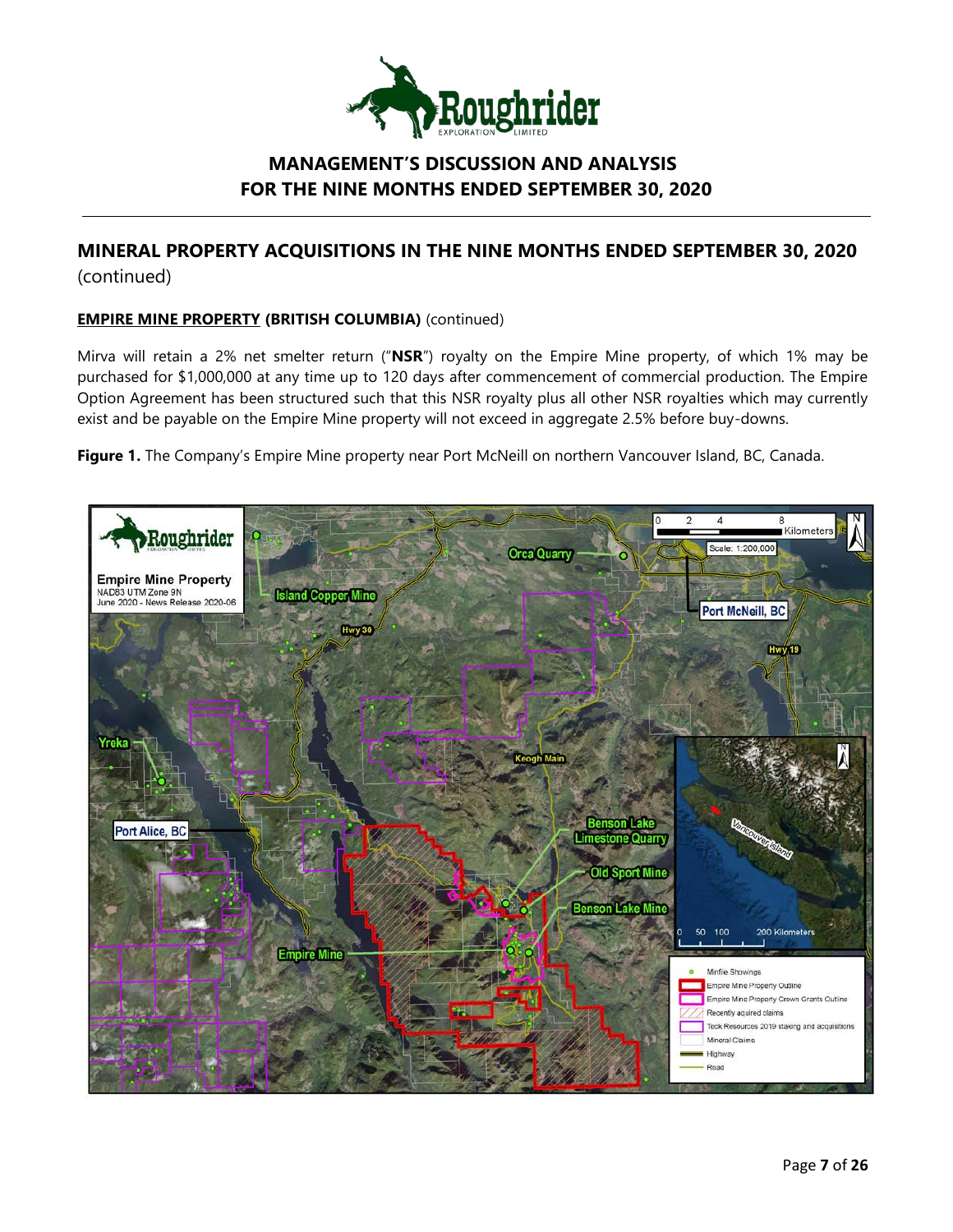

# **MINERAL PROPERTY ACQUISITIONS IN THE NINE MONTHS ENDED SEPTEMBER 30, 2020**  (continued)

## **EMPIRE MINE PROPERTY (BRITISH COLUMBIA)** (continued)

Mirva will retain a 2% net smelter return ("**NSR**") royalty on the Empire Mine property, of which 1% may be purchased for \$1,000,000 at any time up to 120 days after commencement of commercial production. The Empire Option Agreement has been structured such that this NSR royalty plus all other NSR royalties which may currently exist and be payable on the Empire Mine property will not exceed in aggregate 2.5% before buy-downs.

**Figure 1.** The Company's Empire Mine property near Port McNeill on northern Vancouver Island, BC, Canada.

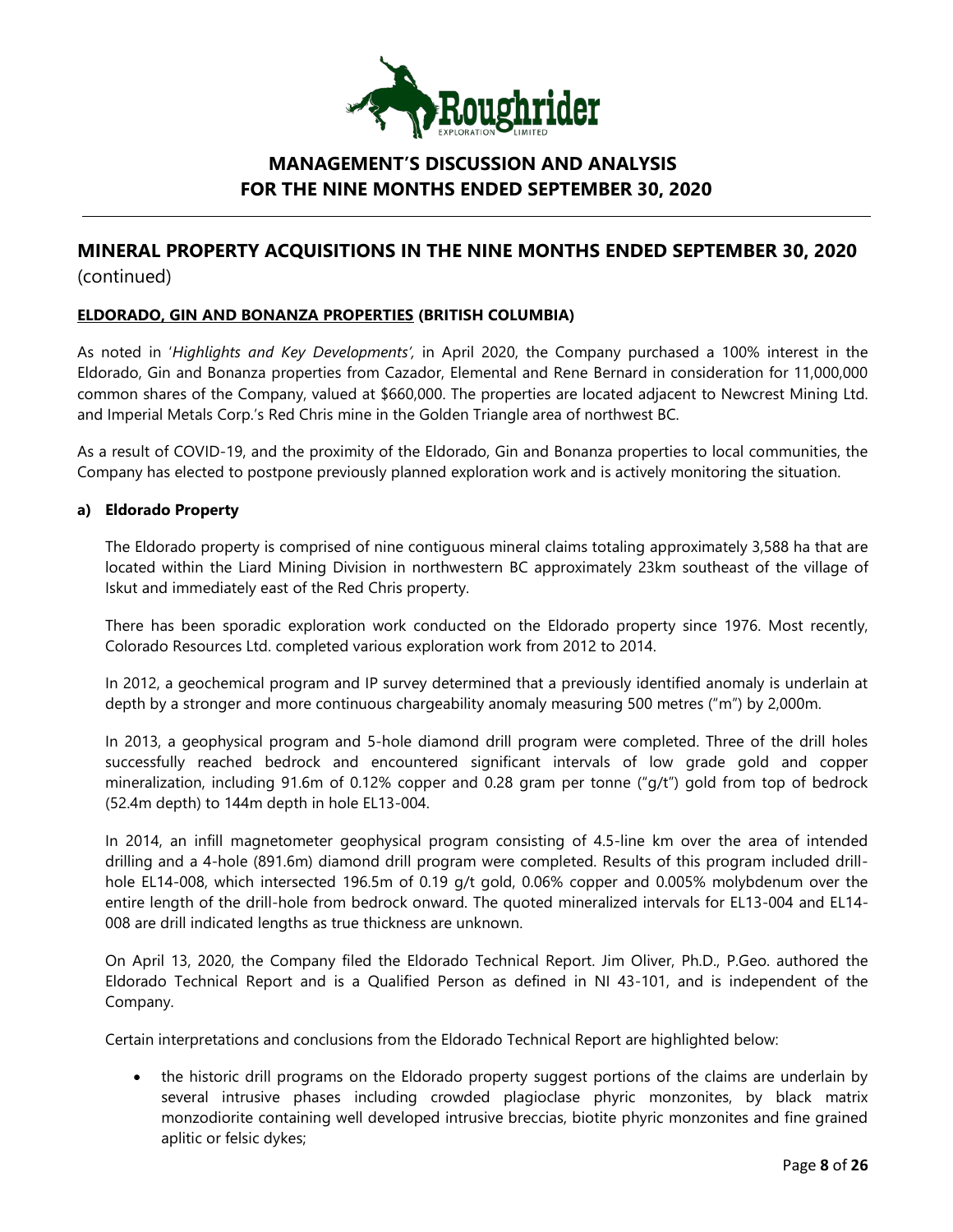

# **MINERAL PROPERTY ACQUISITIONS IN THE NINE MONTHS ENDED SEPTEMBER 30, 2020**  (continued)

## **ELDORADO, GIN AND BONANZA PROPERTIES (BRITISH COLUMBIA)**

As noted in '*Highlights and Key Developments',* in April 2020, the Company purchased a 100% interest in the Eldorado, Gin and Bonanza properties from Cazador, Elemental and Rene Bernard in consideration for 11,000,000 common shares of the Company, valued at \$660,000. The properties are located adjacent to Newcrest Mining Ltd. and Imperial Metals Corp.'s Red Chris mine in the Golden Triangle area of northwest BC.

As a result of COVID-19, and the proximity of the Eldorado, Gin and Bonanza properties to local communities, the Company has elected to postpone previously planned exploration work and is actively monitoring the situation.

### **a) Eldorado Property**

The Eldorado property is comprised of nine contiguous mineral claims totaling approximately 3,588 ha that are located within the Liard Mining Division in northwestern BC approximately 23km southeast of the village of Iskut and immediately east of the Red Chris property.

There has been sporadic exploration work conducted on the Eldorado property since 1976. Most recently, Colorado Resources Ltd. completed various exploration work from 2012 to 2014.

In 2012, a geochemical program and IP survey determined that a previously identified anomaly is underlain at depth by a stronger and more continuous chargeability anomaly measuring 500 metres ("m") by 2,000m.

In 2013, a geophysical program and 5-hole diamond drill program were completed. Three of the drill holes successfully reached bedrock and encountered significant intervals of low grade gold and copper mineralization, including 91.6m of 0.12% copper and 0.28 gram per tonne ("g/t") gold from top of bedrock (52.4m depth) to 144m depth in hole EL13-004.

In 2014, an infill magnetometer geophysical program consisting of 4.5-line km over the area of intended drilling and a 4-hole (891.6m) diamond drill program were completed. Results of this program included drillhole EL14-008, which intersected 196.5m of 0.19 g/t gold, 0.06% copper and 0.005% molybdenum over the entire length of the drill-hole from bedrock onward. The quoted mineralized intervals for EL13-004 and EL14- 008 are drill indicated lengths as true thickness are unknown.

On April 13, 2020, the Company filed the Eldorado Technical Report. Jim Oliver, Ph.D., P.Geo. authored the Eldorado Technical Report and is a Qualified Person as defined in NI 43-101, and is independent of the Company.

Certain interpretations and conclusions from the Eldorado Technical Report are highlighted below:

• the historic drill programs on the Eldorado property suggest portions of the claims are underlain by several intrusive phases including crowded plagioclase phyric monzonites, by black matrix monzodiorite containing well developed intrusive breccias, biotite phyric monzonites and fine grained aplitic or felsic dykes;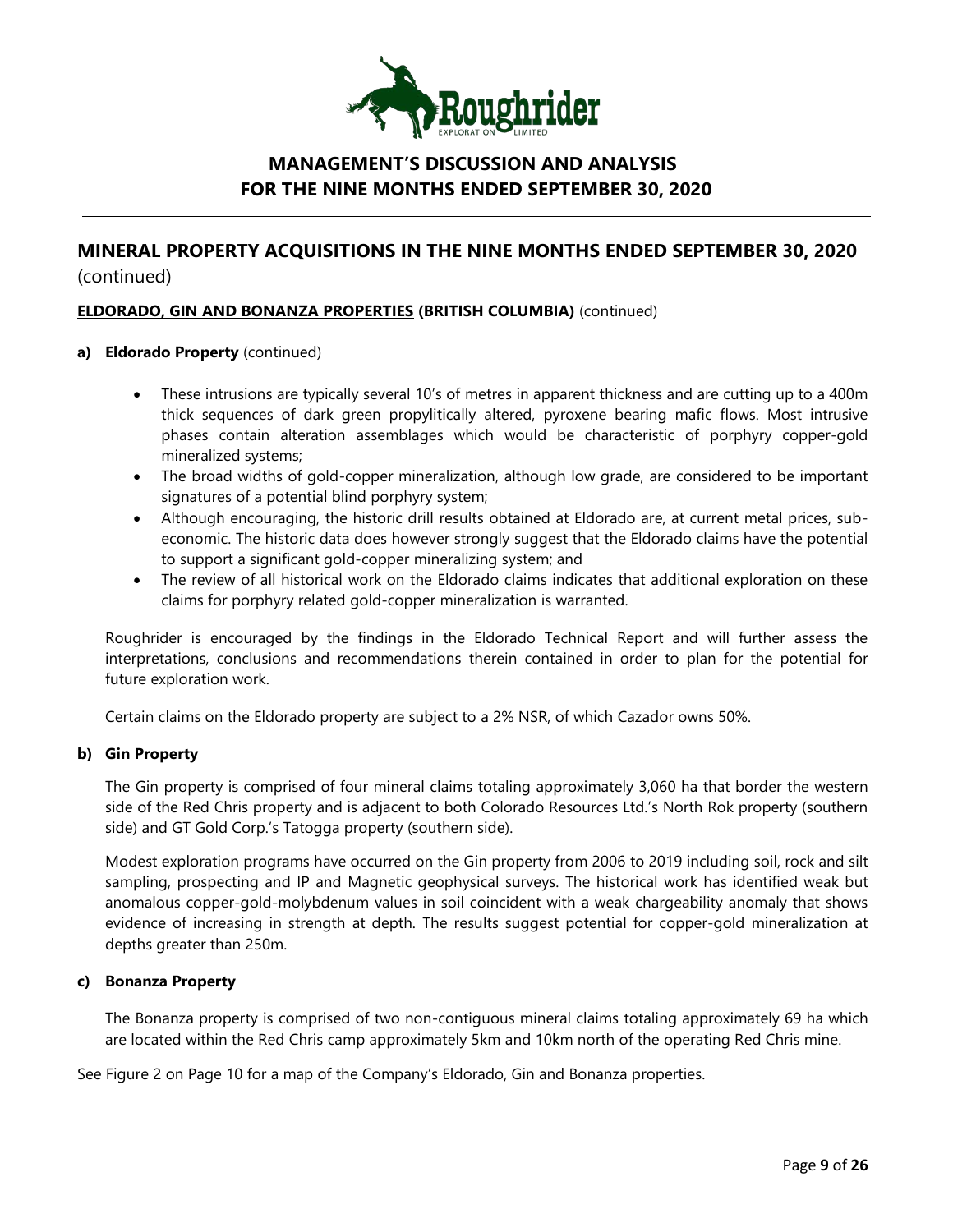

# **MINERAL PROPERTY ACQUISITIONS IN THE NINE MONTHS ENDED SEPTEMBER 30, 2020**  (continued)

### **ELDORADO, GIN AND BONANZA PROPERTIES (BRITISH COLUMBIA)** (continued)

### **a) Eldorado Property** (continued)

- These intrusions are typically several 10's of metres in apparent thickness and are cutting up to a 400m thick sequences of dark green propylitically altered, pyroxene bearing mafic flows. Most intrusive phases contain alteration assemblages which would be characteristic of porphyry copper-gold mineralized systems;
- The broad widths of gold-copper mineralization, although low grade, are considered to be important signatures of a potential blind porphyry system;
- Although encouraging, the historic drill results obtained at Eldorado are, at current metal prices, subeconomic. The historic data does however strongly suggest that the Eldorado claims have the potential to support a significant gold-copper mineralizing system; and
- The review of all historical work on the Eldorado claims indicates that additional exploration on these claims for porphyry related gold-copper mineralization is warranted.

Roughrider is encouraged by the findings in the Eldorado Technical Report and will further assess the interpretations, conclusions and recommendations therein contained in order to plan for the potential for future exploration work.

Certain claims on the Eldorado property are subject to a 2% NSR, of which Cazador owns 50%.

#### **b) Gin Property**

The Gin property is comprised of four mineral claims totaling approximately 3,060 ha that border the western side of the Red Chris property and is adjacent to both Colorado Resources Ltd.'s North Rok property (southern side) and GT Gold Corp.'s Tatogga property (southern side).

Modest exploration programs have occurred on the Gin property from 2006 to 2019 including soil, rock and silt sampling, prospecting and IP and Magnetic geophysical surveys. The historical work has identified weak but anomalous copper-gold-molybdenum values in soil coincident with a weak chargeability anomaly that shows evidence of increasing in strength at depth. The results suggest potential for copper-gold mineralization at depths greater than 250m.

#### **c) Bonanza Property**

The Bonanza property is comprised of two non-contiguous mineral claims totaling approximately 69 ha which are located within the Red Chris camp approximately 5km and 10km north of the operating Red Chris mine.

See Figure 2 on Page 10 for a map of the Company's Eldorado, Gin and Bonanza properties.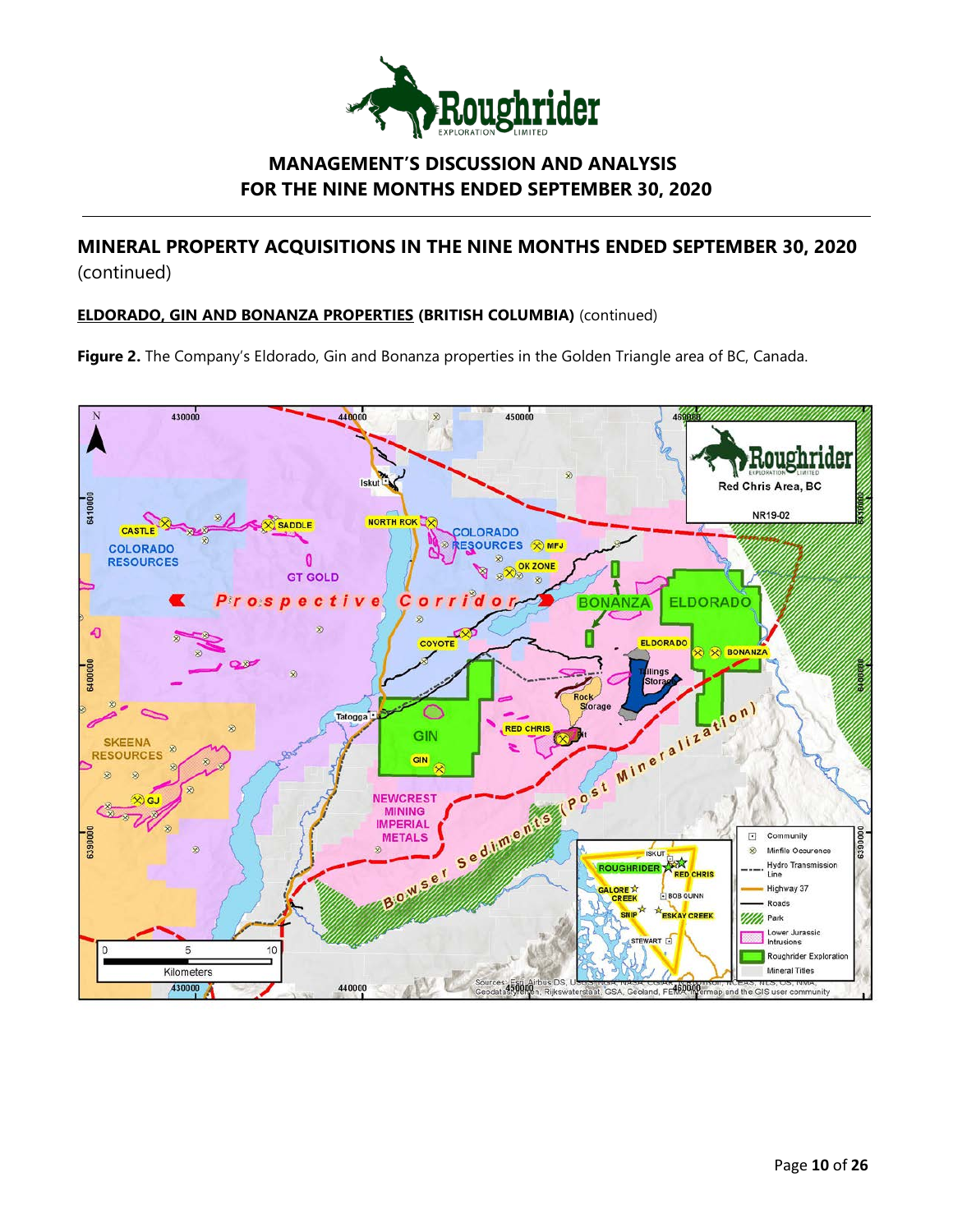

# **MINERAL PROPERTY ACQUISITIONS IN THE NINE MONTHS ENDED SEPTEMBER 30, 2020**  (continued)

## **ELDORADO, GIN AND BONANZA PROPERTIES (BRITISH COLUMBIA)** (continued)

**Figure 2.** The Company's Eldorado, Gin and Bonanza properties in the Golden Triangle area of BC, Canada.

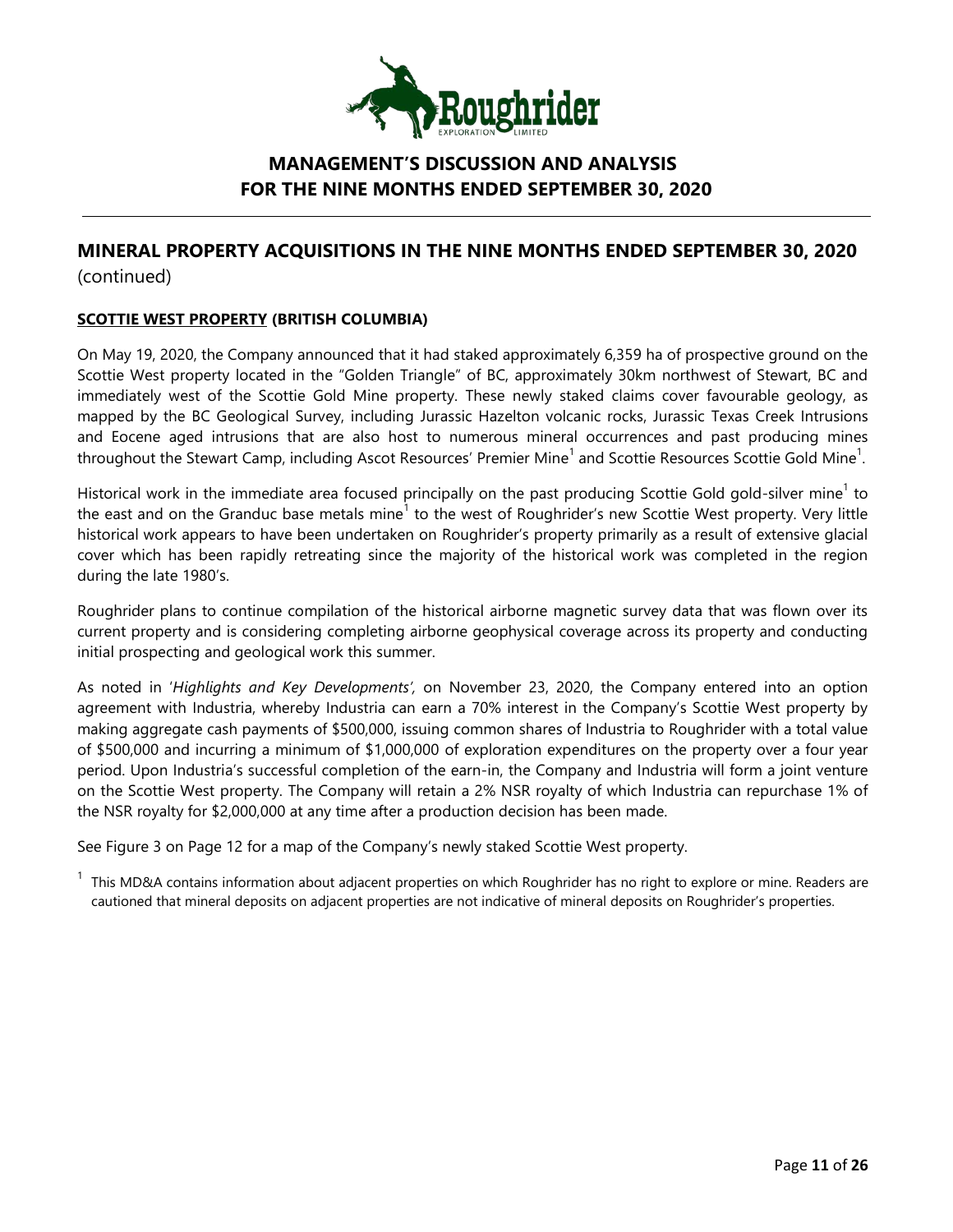

# **MINERAL PROPERTY ACQUISITIONS IN THE NINE MONTHS ENDED SEPTEMBER 30, 2020**  (continued)

## **SCOTTIE WEST PROPERTY (BRITISH COLUMBIA)**

On May 19, 2020, the Company announced that it had staked approximately 6,359 ha of prospective ground on the Scottie West property located in the "Golden Triangle" of BC, approximately 30km northwest of Stewart, BC and immediately west of the Scottie Gold Mine property. These newly staked claims cover favourable geology, as mapped by the BC Geological Survey, including Jurassic Hazelton volcanic rocks, Jurassic Texas Creek Intrusions and Eocene aged intrusions that are also host to numerous mineral occurrences and past producing mines throughout the Stewart Camp, including Ascot Resources' Premier Mine $^1$  and Scottie Resources Scottie Gold Mine $^1\!$ 

Historical work in the immediate area focused principally on the past producing Scottie Gold gold-silver mine<sup>1</sup> to the east and on the Granduc base metals mine<sup>1</sup> to the west of Roughrider's new Scottie West property. Very little historical work appears to have been undertaken on Roughrider's property primarily as a result of extensive glacial cover which has been rapidly retreating since the majority of the historical work was completed in the region during the late 1980's.

Roughrider plans to continue compilation of the historical airborne magnetic survey data that was flown over its current property and is considering completing airborne geophysical coverage across its property and conducting initial prospecting and geological work this summer.

As noted in '*Highlights and Key Developments',* on November 23, 2020, the Company entered into an option agreement with Industria, whereby Industria can earn a 70% interest in the Company's Scottie West property by making aggregate cash payments of \$500,000, issuing common shares of Industria to Roughrider with a total value of \$500,000 and incurring a minimum of \$1,000,000 of exploration expenditures on the property over a four year period. Upon Industria's successful completion of the earn-in, the Company and Industria will form a joint venture on the Scottie West property. The Company will retain a 2% NSR royalty of which Industria can repurchase 1% of the NSR royalty for \$2,000,000 at any time after a production decision has been made.

See Figure 3 on Page 12 for a map of the Company's newly staked Scottie West property.

 $1$  This MD&A contains information about adjacent properties on which Roughrider has no right to explore or mine. Readers are cautioned that mineral deposits on adjacent properties are not indicative of mineral deposits on Roughrider's properties.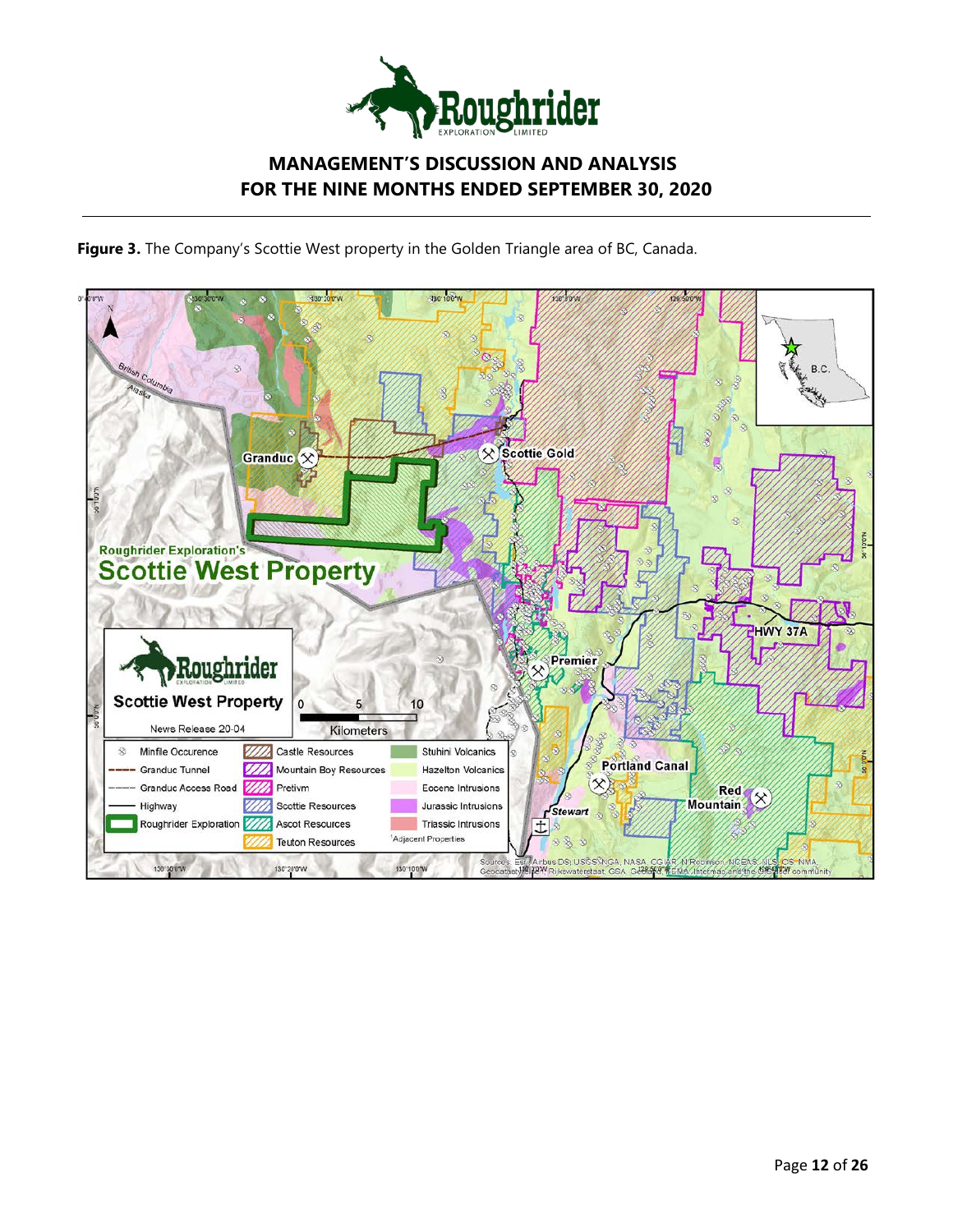

**Figure 3.** The Company's Scottie West property in the Golden Triangle area of BC, Canada.

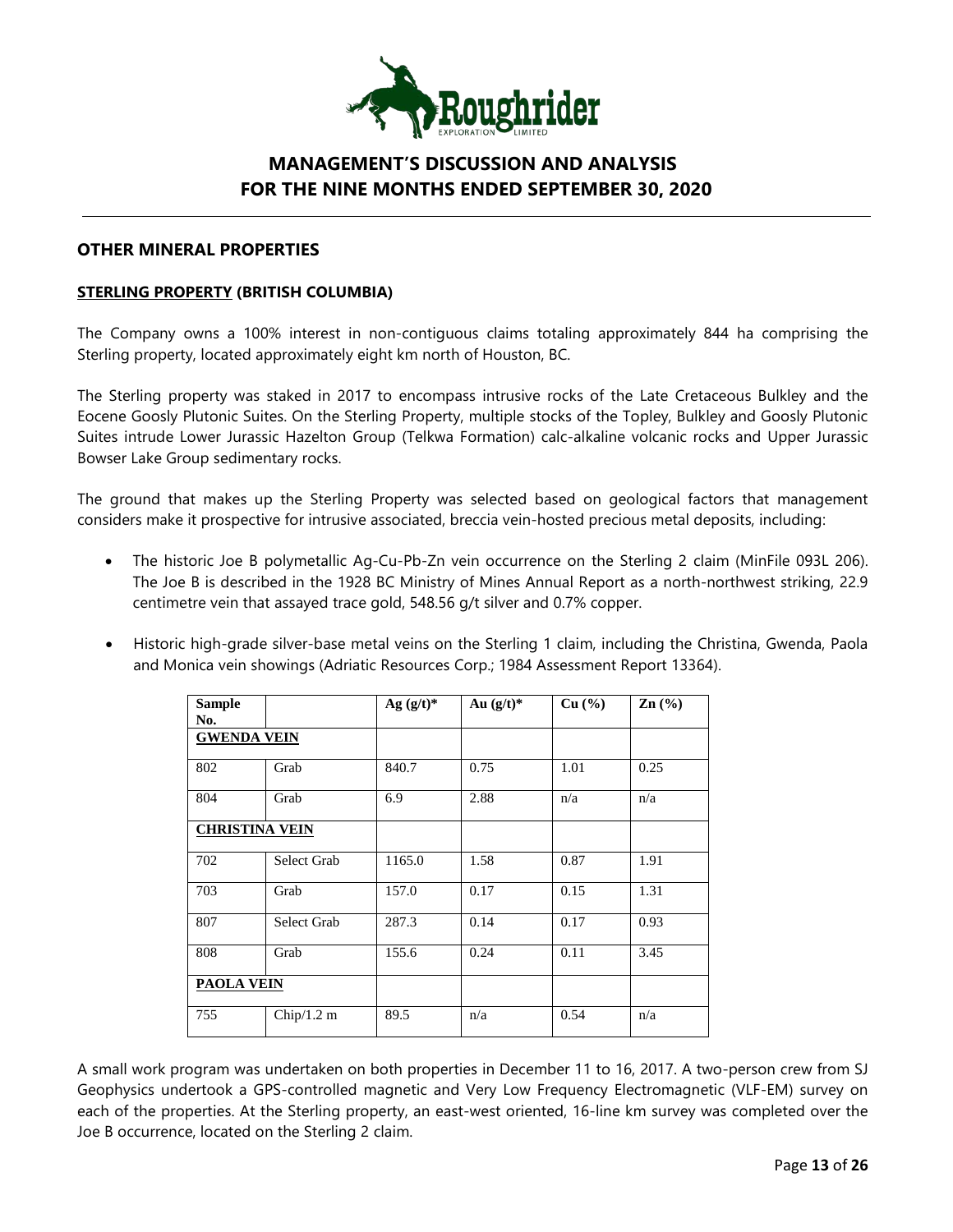

## **OTHER MINERAL PROPERTIES**

### **STERLING PROPERTY (BRITISH COLUMBIA)**

The Company owns a 100% interest in non-contiguous claims totaling approximately 844 ha comprising the Sterling property, located approximately eight km north of Houston, BC.

The Sterling property was staked in 2017 to encompass intrusive rocks of the Late Cretaceous Bulkley and the Eocene Goosly Plutonic Suites. On the Sterling Property, multiple stocks of the Topley, Bulkley and Goosly Plutonic Suites intrude Lower Jurassic Hazelton Group (Telkwa Formation) calc-alkaline volcanic rocks and Upper Jurassic Bowser Lake Group sedimentary rocks.

The ground that makes up the Sterling Property was selected based on geological factors that management considers make it prospective for intrusive associated, breccia vein-hosted precious metal deposits, including:

- The historic Joe B polymetallic Ag-Cu-Pb-Zn vein occurrence on the Sterling 2 claim (MinFile 093L 206). The Joe B is described in the 1928 BC Ministry of Mines Annual Report as a north-northwest striking, 22.9 centimetre vein that assayed trace gold, 548.56 g/t silver and 0.7% copper.
- Historic high-grade silver-base metal veins on the Sterling 1 claim, including the Christina, Gwenda, Paola and Monica vein showings (Adriatic Resources Corp.; 1984 Assessment Report 13364).

| <b>Sample</b><br>No. |                       | Ag $(g/t)^*$ | Au $(g/t)^*$ | Cu (%) | Zn(%) |
|----------------------|-----------------------|--------------|--------------|--------|-------|
| <b>GWENDA VEIN</b>   |                       |              |              |        |       |
| 802                  | Grab                  | 840.7        | 0.75         | 1.01   | 0.25  |
| 804                  | Grab                  | 6.9          | 2.88         | n/a    | n/a   |
|                      | <b>CHRISTINA VEIN</b> |              |              |        |       |
| 702                  | Select Grab           | 1165.0       | 1.58         | 0.87   | 1.91  |
| 703                  | Grab                  | 157.0        | 0.17         | 0.15   | 1.31  |
| 807                  | Select Grab           | 287.3        | 0.14         | 0.17   | 0.93  |
| 808                  | Grab                  | 155.6        | 0.24         | 0.11   | 3.45  |
| <b>PAOLA VEIN</b>    |                       |              |              |        |       |
| 755                  | Chip/ $1.2 \text{ m}$ | 89.5         | n/a          | 0.54   | n/a   |

A small work program was undertaken on both properties in December 11 to 16, 2017. A two-person crew from SJ Geophysics undertook a GPS-controlled magnetic and Very Low Frequency Electromagnetic (VLF-EM) survey on each of the properties. At the Sterling property, an east-west oriented, 16-line km survey was completed over the Joe B occurrence, located on the Sterling 2 claim.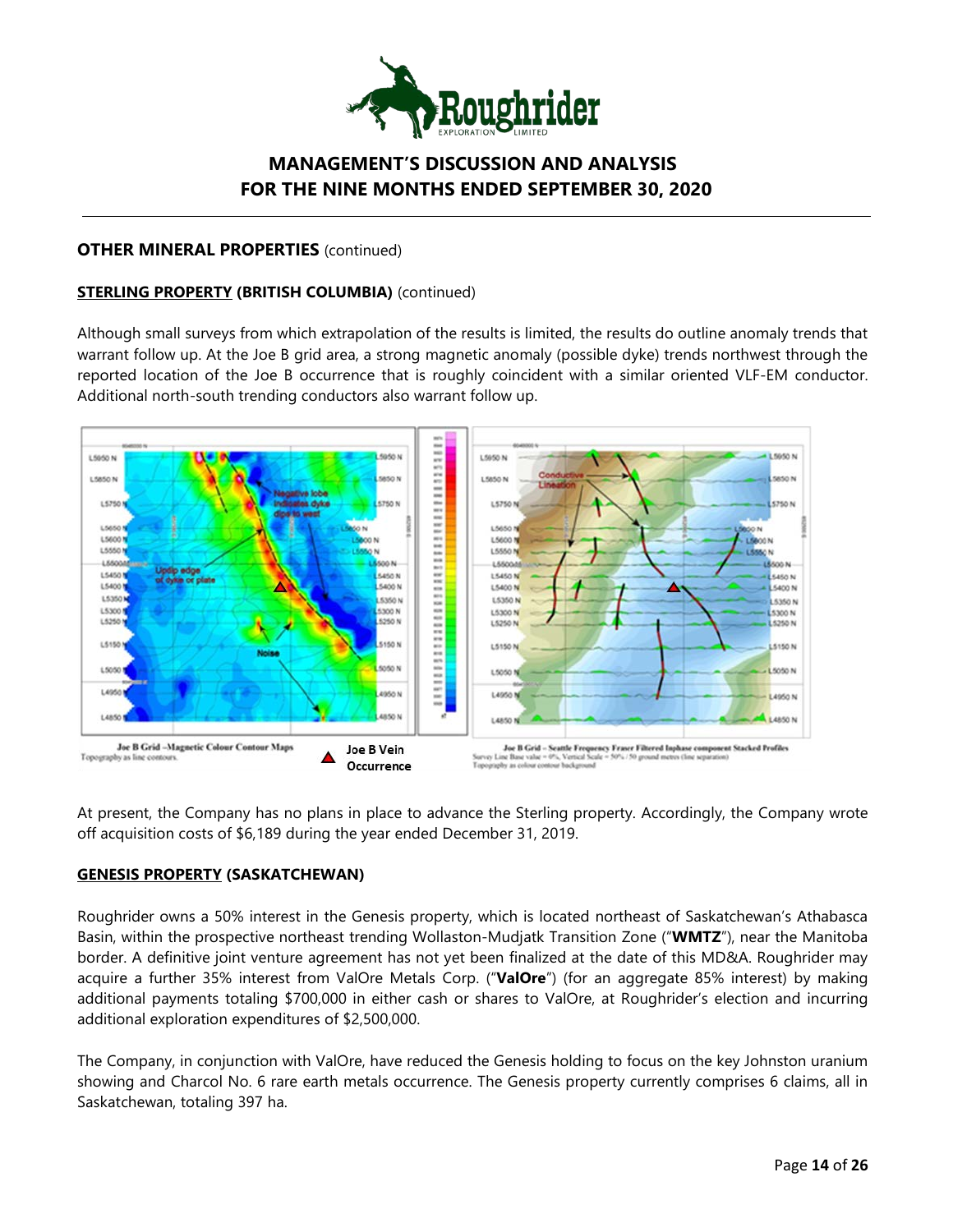

### **OTHER MINERAL PROPERTIES** (continued)

## **STERLING PROPERTY (BRITISH COLUMBIA)** (continued)

Although small surveys from which extrapolation of the results is limited, the results do outline anomaly trends that warrant follow up. At the Joe B grid area, a strong magnetic anomaly (possible dyke) trends northwest through the reported location of the Joe B occurrence that is roughly coincident with a similar oriented VLF-EM conductor. Additional north-south trending conductors also warrant follow up.



At present, the Company has no plans in place to advance the Sterling property. Accordingly, the Company wrote off acquisition costs of \$6,189 during the year ended December 31, 2019.

### **GENESIS PROPERTY (SASKATCHEWAN)**

Roughrider owns a 50% interest in the Genesis property, which is located northeast of Saskatchewan's Athabasca Basin, within the prospective northeast trending Wollaston-Mudjatk Transition Zone ("**WMTZ**"), near the Manitoba border. A definitive joint venture agreement has not yet been finalized at the date of this MD&A. Roughrider may acquire a further 35% interest from ValOre Metals Corp. ("**ValOre**") (for an aggregate 85% interest) by making additional payments totaling \$700,000 in either cash or shares to ValOre, at Roughrider's election and incurring additional exploration expenditures of \$2,500,000.

The Company, in conjunction with ValOre, have reduced the Genesis holding to focus on the key Johnston uranium showing and Charcol No. 6 rare earth metals occurrence. The Genesis property currently comprises 6 claims, all in Saskatchewan, totaling 397 ha.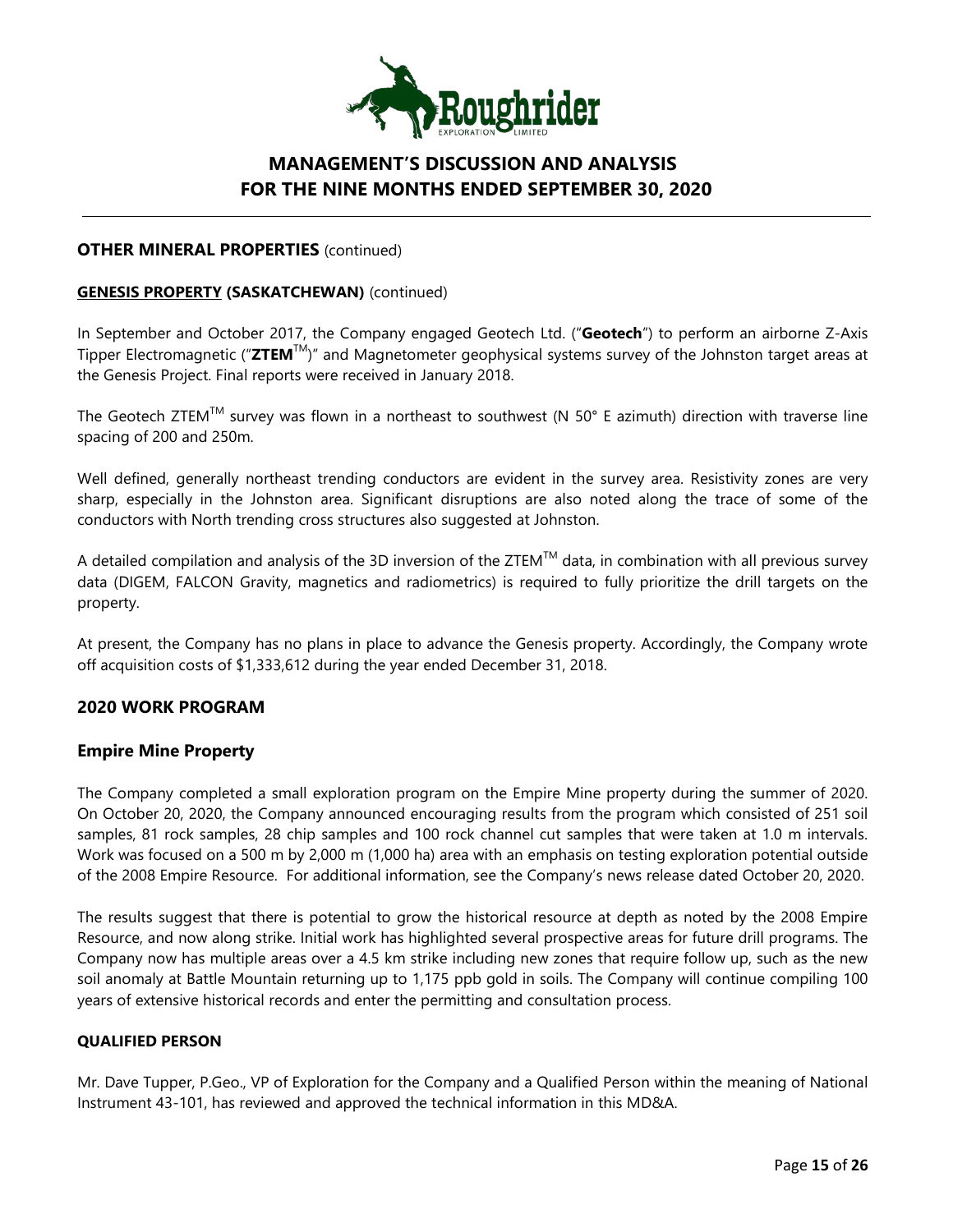

### **OTHER MINERAL PROPERTIES** (continued)

### **GENESIS PROPERTY (SASKATCHEWAN)** (continued)

In September and October 2017, the Company engaged Geotech Ltd. ("**Geotech**") to perform an airborne Z-Axis Tipper Electromagnetic ("**ZTEM**TM)" and Magnetometer geophysical systems survey of the Johnston target areas at the Genesis Project. Final reports were received in January 2018.

The Geotech ZTEM™ survey was flown in a northeast to southwest (N 50° E azimuth) direction with traverse line spacing of 200 and 250m.

Well defined, generally northeast trending conductors are evident in the survey area. Resistivity zones are very sharp, especially in the Johnston area. Significant disruptions are also noted along the trace of some of the conductors with North trending cross structures also suggested at Johnston.

A detailed compilation and analysis of the 3D inversion of the ZTEM<sup>TM</sup> data, in combination with all previous survey data (DIGEM, FALCON Gravity, magnetics and radiometrics) is required to fully prioritize the drill targets on the property.

At present, the Company has no plans in place to advance the Genesis property. Accordingly, the Company wrote off acquisition costs of \$1,333,612 during the year ended December 31, 2018.

## **2020 WORK PROGRAM**

### **Empire Mine Property**

The Company completed a small exploration program on the Empire Mine property during the summer of 2020. On October 20, 2020, the Company announced encouraging results from the program which consisted of 251 soil samples, 81 rock samples, 28 chip samples and 100 rock channel cut samples that were taken at 1.0 m intervals. Work was focused on a 500 m by 2,000 m (1,000 ha) area with an emphasis on testing exploration potential outside of the 2008 Empire Resource. For additional information, see the Company's news release dated October 20, 2020.

The results suggest that there is potential to grow the historical resource at depth as noted by the 2008 Empire Resource, and now along strike. Initial work has highlighted several prospective areas for future drill programs. The Company now has multiple areas over a 4.5 km strike including new zones that require follow up, such as the new soil anomaly at Battle Mountain returning up to 1,175 ppb gold in soils. The Company will continue compiling 100 years of extensive historical records and enter the permitting and consultation process.

### **QUALIFIED PERSON**

Mr. Dave Tupper, P.Geo., VP of Exploration for the Company and a Qualified Person within the meaning of National Instrument 43-101, has reviewed and approved the technical information in this MD&A.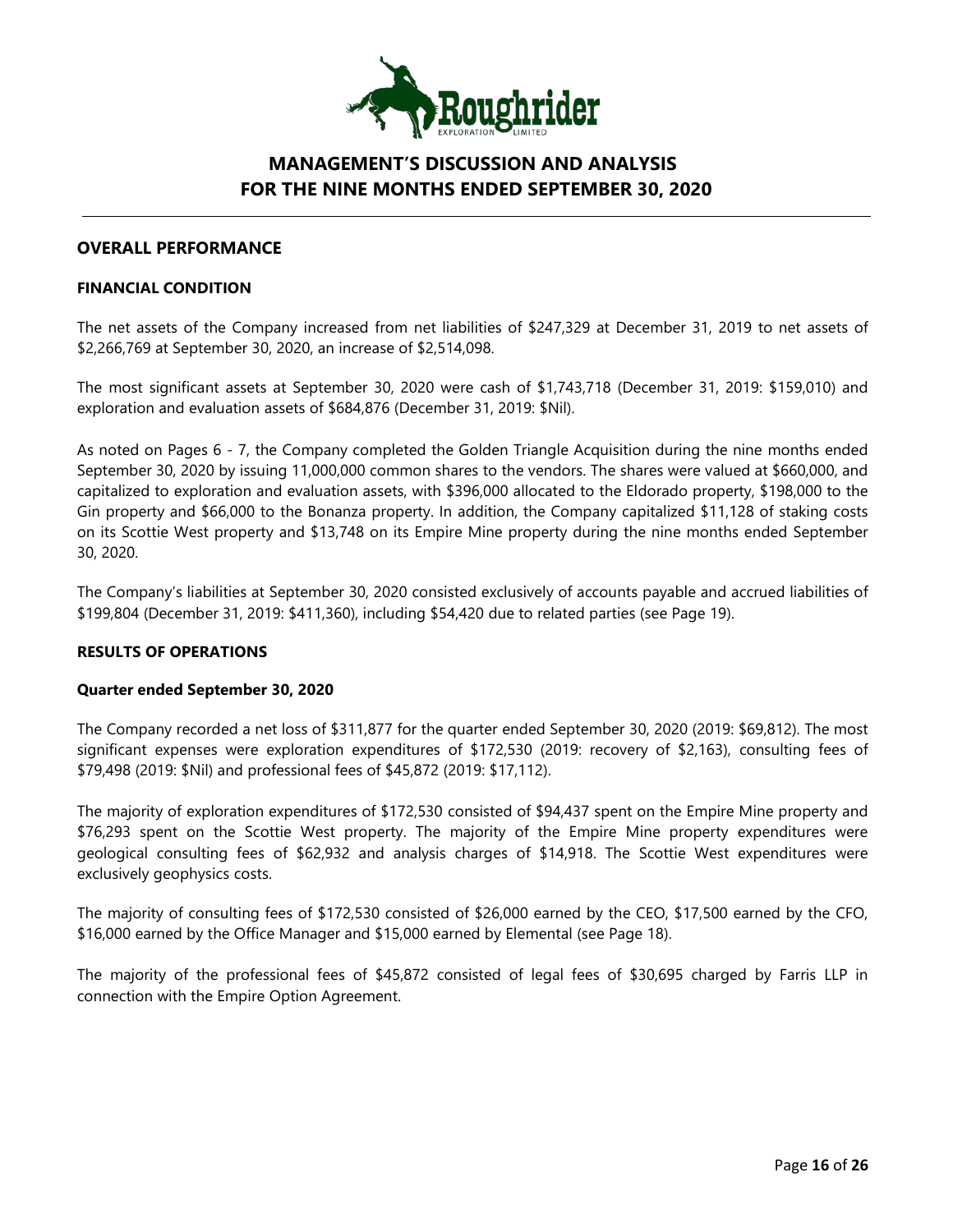

## **OVERALL PERFORMANCE**

#### **FINANCIAL CONDITION**

The net assets of the Company increased from net liabilities of \$247,329 at December 31, 2019 to net assets of \$2,266,769 at September 30, 2020, an increase of \$2,514,098.

The most significant assets at September 30, 2020 were cash of \$1,743,718 (December 31, 2019: \$159,010) and exploration and evaluation assets of \$684,876 (December 31, 2019: \$Nil).

As noted on Pages 6 - 7, the Company completed the Golden Triangle Acquisition during the nine months ended September 30, 2020 by issuing 11,000,000 common shares to the vendors. The shares were valued at \$660,000, and capitalized to exploration and evaluation assets, with \$396,000 allocated to the Eldorado property, \$198,000 to the Gin property and \$66,000 to the Bonanza property. In addition, the Company capitalized \$11,128 of staking costs on its Scottie West property and \$13,748 on its Empire Mine property during the nine months ended September 30, 2020.

The Company's liabilities at September 30, 2020 consisted exclusively of accounts payable and accrued liabilities of \$199,804 (December 31, 2019: \$411,360), including \$54,420 due to related parties (see Page 19).

### **RESULTS OF OPERATIONS**

#### **Quarter ended September 30, 2020**

The Company recorded a net loss of \$311,877 for the quarter ended September 30, 2020 (2019: \$69,812). The most significant expenses were exploration expenditures of \$172,530 (2019: recovery of \$2,163), consulting fees of \$79,498 (2019: \$Nil) and professional fees of \$45,872 (2019: \$17,112).

The majority of exploration expenditures of \$172,530 consisted of \$94,437 spent on the Empire Mine property and \$76,293 spent on the Scottie West property. The majority of the Empire Mine property expenditures were geological consulting fees of \$62,932 and analysis charges of \$14,918. The Scottie West expenditures were exclusively geophysics costs.

The majority of consulting fees of \$172,530 consisted of \$26,000 earned by the CEO, \$17,500 earned by the CFO, \$16,000 earned by the Office Manager and \$15,000 earned by Elemental (see Page 18).

The majority of the professional fees of \$45,872 consisted of legal fees of \$30,695 charged by Farris LLP in connection with the Empire Option Agreement.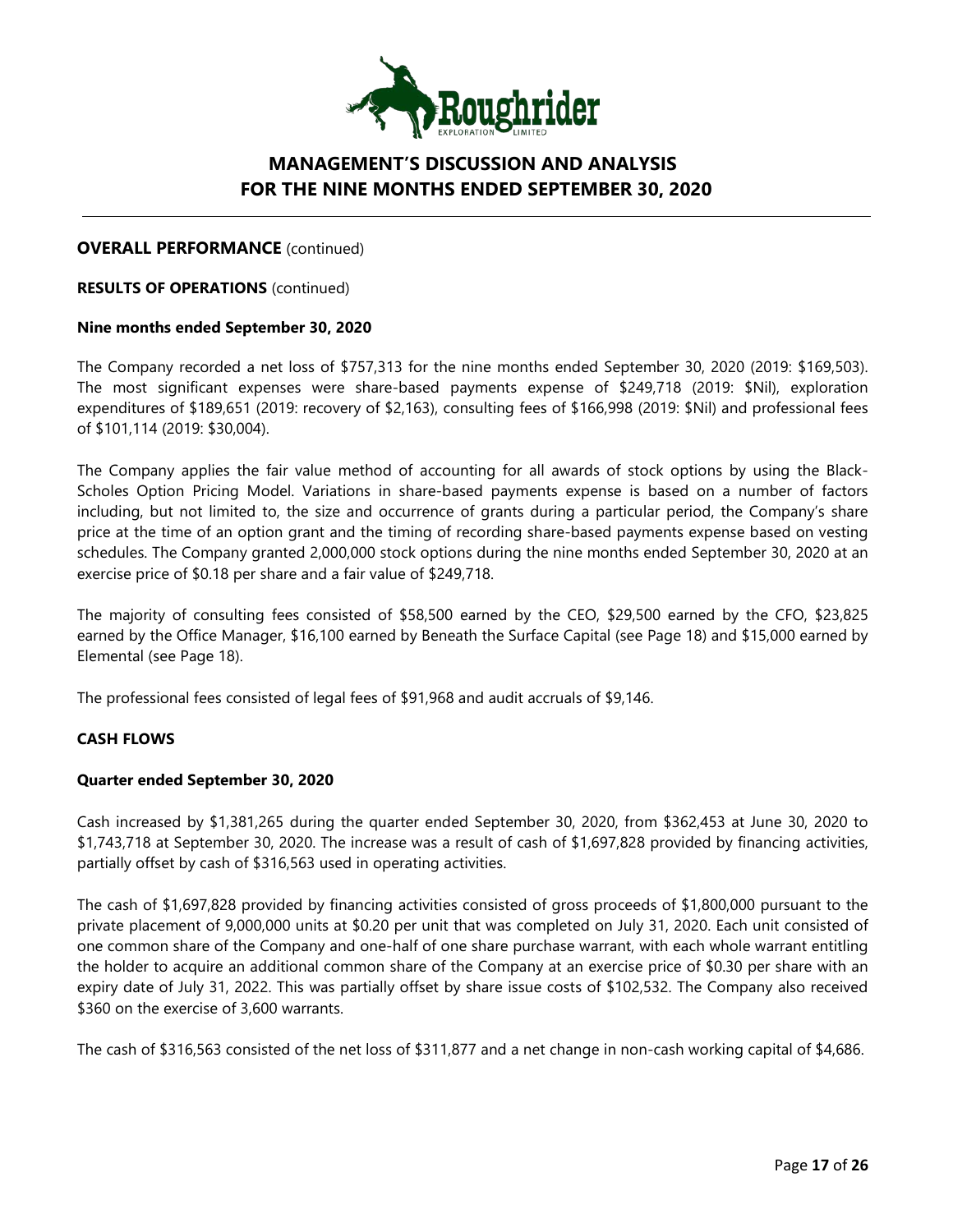

### **OVERALL PERFORMANCE** (continued)

**RESULTS OF OPERATIONS** (continued)

### **Nine months ended September 30, 2020**

The Company recorded a net loss of \$757,313 for the nine months ended September 30, 2020 (2019: \$169,503). The most significant expenses were share-based payments expense of \$249,718 (2019: \$Nil), exploration expenditures of \$189,651 (2019: recovery of \$2,163), consulting fees of \$166,998 (2019: \$Nil) and professional fees of \$101,114 (2019: \$30,004).

The Company applies the fair value method of accounting for all awards of stock options by using the Black-Scholes Option Pricing Model. Variations in share-based payments expense is based on a number of factors including, but not limited to, the size and occurrence of grants during a particular period, the Company's share price at the time of an option grant and the timing of recording share-based payments expense based on vesting schedules. The Company granted 2,000,000 stock options during the nine months ended September 30, 2020 at an exercise price of \$0.18 per share and a fair value of \$249,718.

The majority of consulting fees consisted of \$58,500 earned by the CEO, \$29,500 earned by the CFO, \$23,825 earned by the Office Manager, \$16,100 earned by Beneath the Surface Capital (see Page 18) and \$15,000 earned by Elemental (see Page 18).

The professional fees consisted of legal fees of \$91,968 and audit accruals of \$9,146.

### **CASH FLOWS**

#### **Quarter ended September 30, 2020**

Cash increased by \$1,381,265 during the quarter ended September 30, 2020, from \$362,453 at June 30, 2020 to \$1,743,718 at September 30, 2020. The increase was a result of cash of \$1,697,828 provided by financing activities, partially offset by cash of \$316,563 used in operating activities.

The cash of \$1,697,828 provided by financing activities consisted of gross proceeds of \$1,800,000 pursuant to the private placement of 9,000,000 units at \$0.20 per unit that was completed on July 31, 2020. Each unit consisted of one common share of the Company and one-half of one share purchase warrant, with each whole warrant entitling the holder to acquire an additional common share of the Company at an exercise price of \$0.30 per share with an expiry date of July 31, 2022. This was partially offset by share issue costs of \$102,532. The Company also received \$360 on the exercise of 3,600 warrants.

The cash of \$316,563 consisted of the net loss of \$311,877 and a net change in non-cash working capital of \$4,686.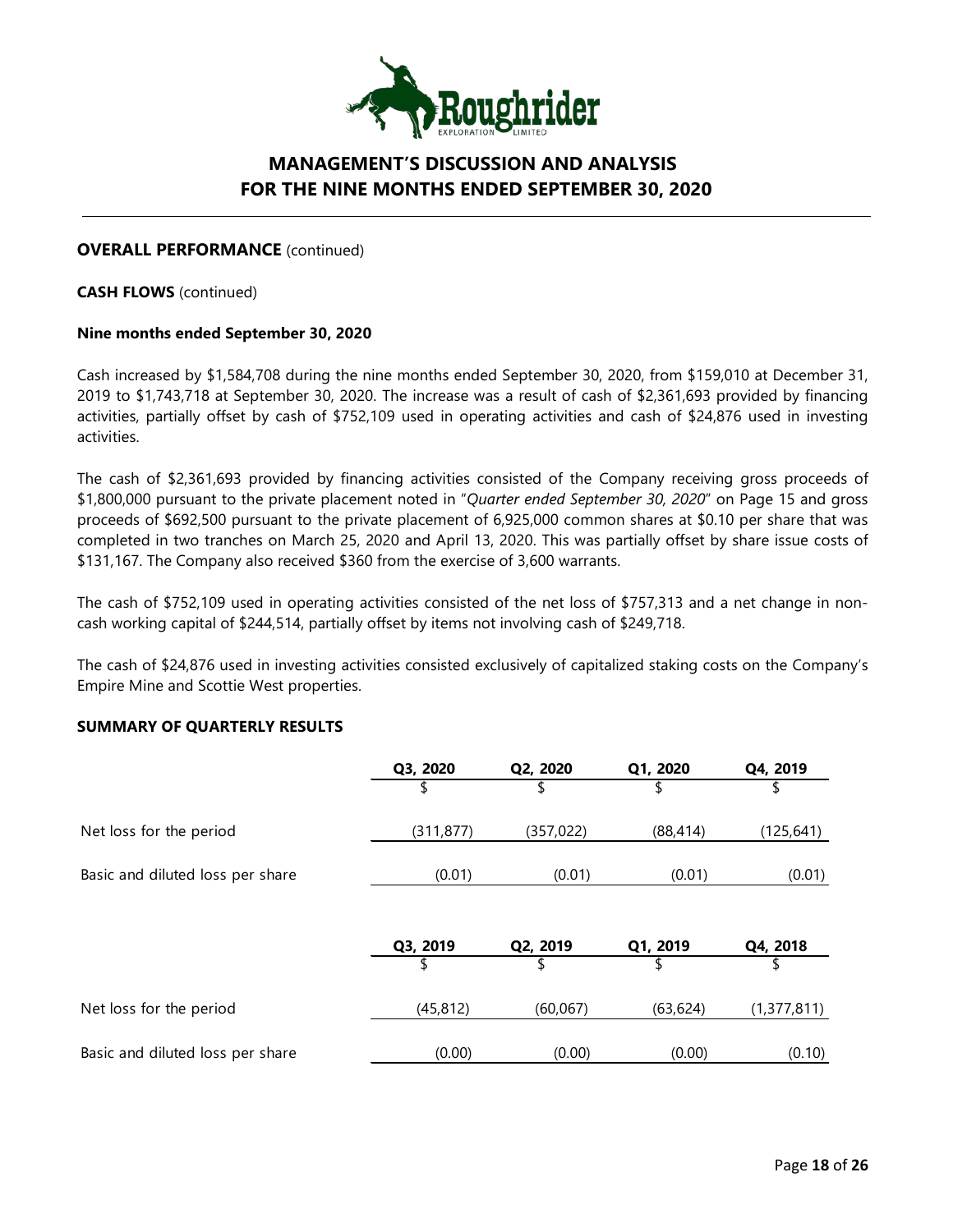

### **OVERALL PERFORMANCE** (continued)

**CASH FLOWS** (continued)

#### **Nine months ended September 30, 2020**

Cash increased by \$1,584,708 during the nine months ended September 30, 2020, from \$159,010 at December 31, 2019 to \$1,743,718 at September 30, 2020. The increase was a result of cash of \$2,361,693 provided by financing activities, partially offset by cash of \$752,109 used in operating activities and cash of \$24,876 used in investing activities.

The cash of \$2,361,693 provided by financing activities consisted of the Company receiving gross proceeds of \$1,800,000 pursuant to the private placement noted in "*Quarter ended September 30, 2020*" on Page 15 and gross proceeds of \$692,500 pursuant to the private placement of 6,925,000 common shares at \$0.10 per share that was completed in two tranches on March 25, 2020 and April 13, 2020. This was partially offset by share issue costs of \$131,167. The Company also received \$360 from the exercise of 3,600 warrants.

The cash of \$752,109 used in operating activities consisted of the net loss of \$757,313 and a net change in noncash working capital of \$244,514, partially offset by items not involving cash of \$249,718.

The cash of \$24,876 used in investing activities consisted exclusively of capitalized staking costs on the Company's Empire Mine and Scottie West properties.

#### **SUMMARY OF QUARTERLY RESULTS**

|                                  | Q3, 2020   | Q2, 2020   | Q1, 2020  | Q4, 2019    |
|----------------------------------|------------|------------|-----------|-------------|
|                                  | \$         | \$         | \$        | \$          |
| Net loss for the period          | (311, 877) | (357, 022) | (88, 414) | (125, 641)  |
| Basic and diluted loss per share | (0.01)     | (0.01)     | (0.01)    | (0.01)      |
|                                  |            |            |           |             |
|                                  | Q3, 2019   | Q2, 2019   | Q1, 2019  | Q4, 2018    |
|                                  |            |            |           |             |
| Net loss for the period          | (45, 812)  | (60,067)   | (63, 624) | (1,377,811) |
| Basic and diluted loss per share | (0.00)     | (0.00)     | (0.00)    | (0.10)      |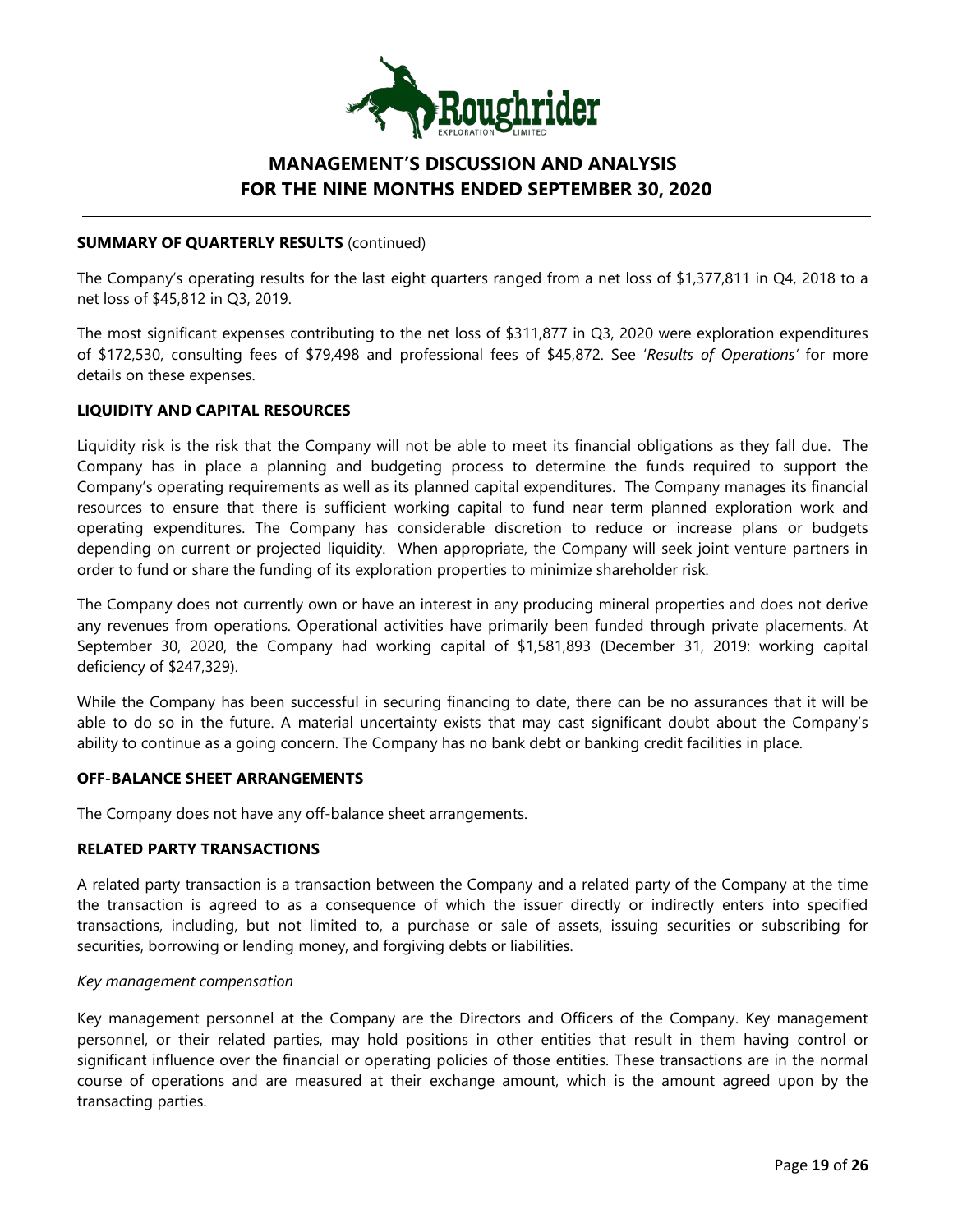

### **SUMMARY OF QUARTERLY RESULTS** (continued)

The Company's operating results for the last eight quarters ranged from a net loss of \$1,377,811 in Q4, 2018 to a net loss of \$45,812 in Q3, 2019.

The most significant expenses contributing to the net loss of \$311,877 in Q3, 2020 were exploration expenditures of \$172,530, consulting fees of \$79,498 and professional fees of \$45,872. See '*Results of Operations'* for more details on these expenses.

### **LIQUIDITY AND CAPITAL RESOURCES**

Liquidity risk is the risk that the Company will not be able to meet its financial obligations as they fall due. The Company has in place a planning and budgeting process to determine the funds required to support the Company's operating requirements as well as its planned capital expenditures. The Company manages its financial resources to ensure that there is sufficient working capital to fund near term planned exploration work and operating expenditures. The Company has considerable discretion to reduce or increase plans or budgets depending on current or projected liquidity. When appropriate, the Company will seek joint venture partners in order to fund or share the funding of its exploration properties to minimize shareholder risk.

The Company does not currently own or have an interest in any producing mineral properties and does not derive any revenues from operations. Operational activities have primarily been funded through private placements. At September 30, 2020, the Company had working capital of \$1,581,893 (December 31, 2019: working capital deficiency of \$247,329).

While the Company has been successful in securing financing to date, there can be no assurances that it will be able to do so in the future. A material uncertainty exists that may cast significant doubt about the Company's ability to continue as a going concern. The Company has no bank debt or banking credit facilities in place.

### **OFF-BALANCE SHEET ARRANGEMENTS**

The Company does not have any off-balance sheet arrangements.

### **RELATED PARTY TRANSACTIONS**

A related party transaction is a transaction between the Company and a related party of the Company at the time the transaction is agreed to as a consequence of which the issuer directly or indirectly enters into specified transactions, including, but not limited to, a purchase or sale of assets, issuing securities or subscribing for securities, borrowing or lending money, and forgiving debts or liabilities.

#### *Key management compensation*

Key management personnel at the Company are the Directors and Officers of the Company. Key management personnel, or their related parties, may hold positions in other entities that result in them having control or significant influence over the financial or operating policies of those entities. These transactions are in the normal course of operations and are measured at their exchange amount, which is the amount agreed upon by the transacting parties.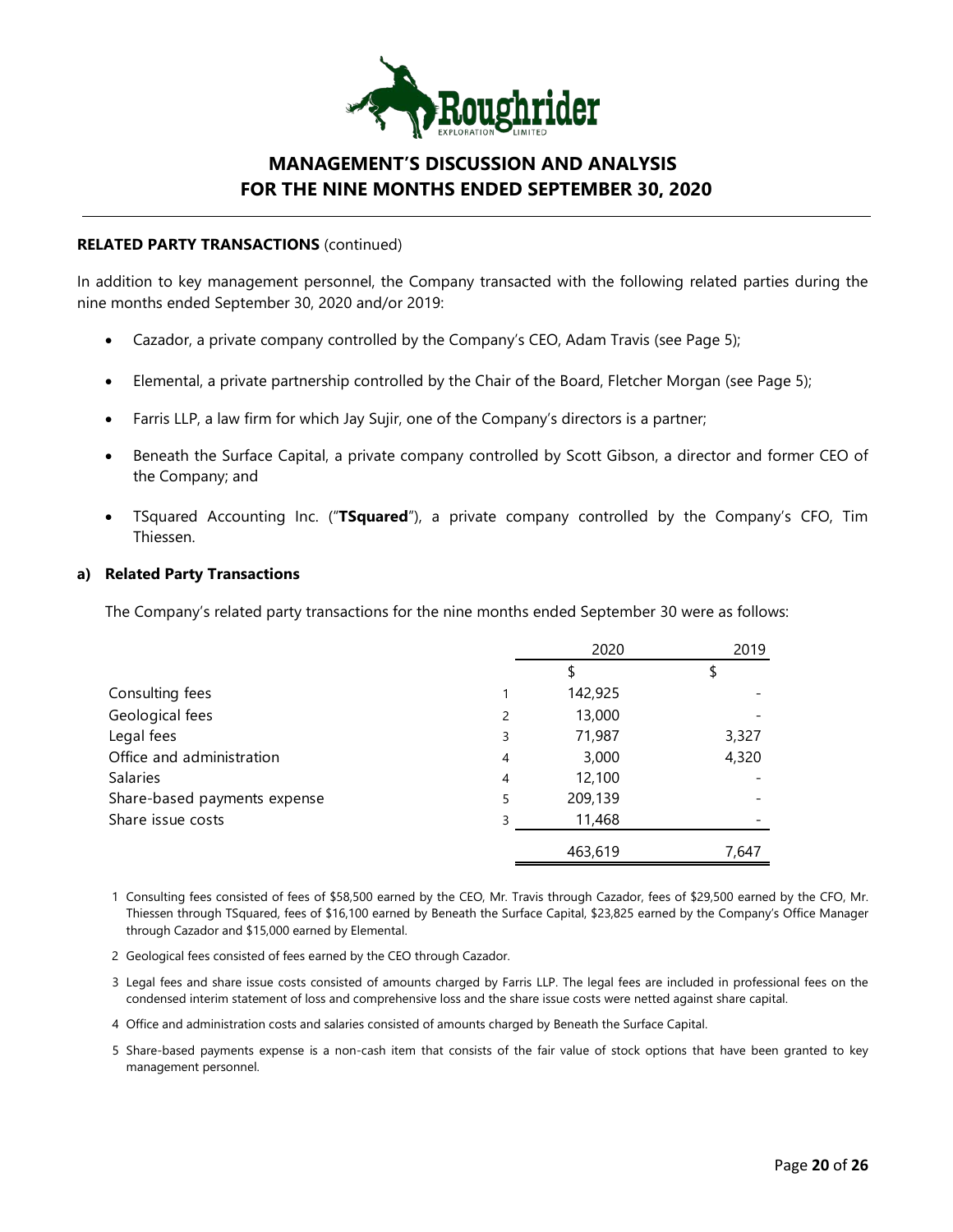

#### **RELATED PARTY TRANSACTIONS** (continued)

In addition to key management personnel, the Company transacted with the following related parties during the nine months ended September 30, 2020 and/or 2019:

- Cazador, a private company controlled by the Company's CEO, Adam Travis (see Page 5);
- Elemental, a private partnership controlled by the Chair of the Board, Fletcher Morgan (see Page 5);
- Farris LLP, a law firm for which Jay Sujir, one of the Company's directors is a partner;
- Beneath the Surface Capital, a private company controlled by Scott Gibson, a director and former CEO of the Company; and
- TSquared Accounting Inc. ("**TSquared**"), a private company controlled by the Company's CFO, Tim Thiessen.

### **a) Related Party Transactions**

The Company's related party transactions for the nine months ended September 30 were as follows:

|                              |   | 2020    | 2019  |
|------------------------------|---|---------|-------|
|                              |   |         |       |
| Consulting fees              |   | 142,925 |       |
| Geological fees              | 2 | 13,000  |       |
| Legal fees                   | 3 | 71,987  | 3,327 |
| Office and administration    | 4 | 3,000   | 4,320 |
| <b>Salaries</b>              | 4 | 12,100  |       |
| Share-based payments expense | 5 | 209,139 |       |
| Share issue costs            | 3 | 11,468  |       |
|                              |   | 463,619 | 7,647 |

1 Consulting fees consisted of fees of \$58,500 earned by the CEO, Mr. Travis through Cazador, fees of \$29,500 earned by the CFO, Mr. Thiessen through TSquared, fees of \$16,100 earned by Beneath the Surface Capital, \$23,825 earned by the Company's Office Manager through Cazador and \$15,000 earned by Elemental.

- 2 Geological fees consisted of fees earned by the CEO through Cazador.
- 3 Legal fees and share issue costs consisted of amounts charged by Farris LLP. The legal fees are included in professional fees on the condensed interim statement of loss and comprehensive loss and the share issue costs were netted against share capital.
- 4 Office and administration costs and salaries consisted of amounts charged by Beneath the Surface Capital.
- 5 Share-based payments expense is a non-cash item that consists of the fair value of stock options that have been granted to key management personnel.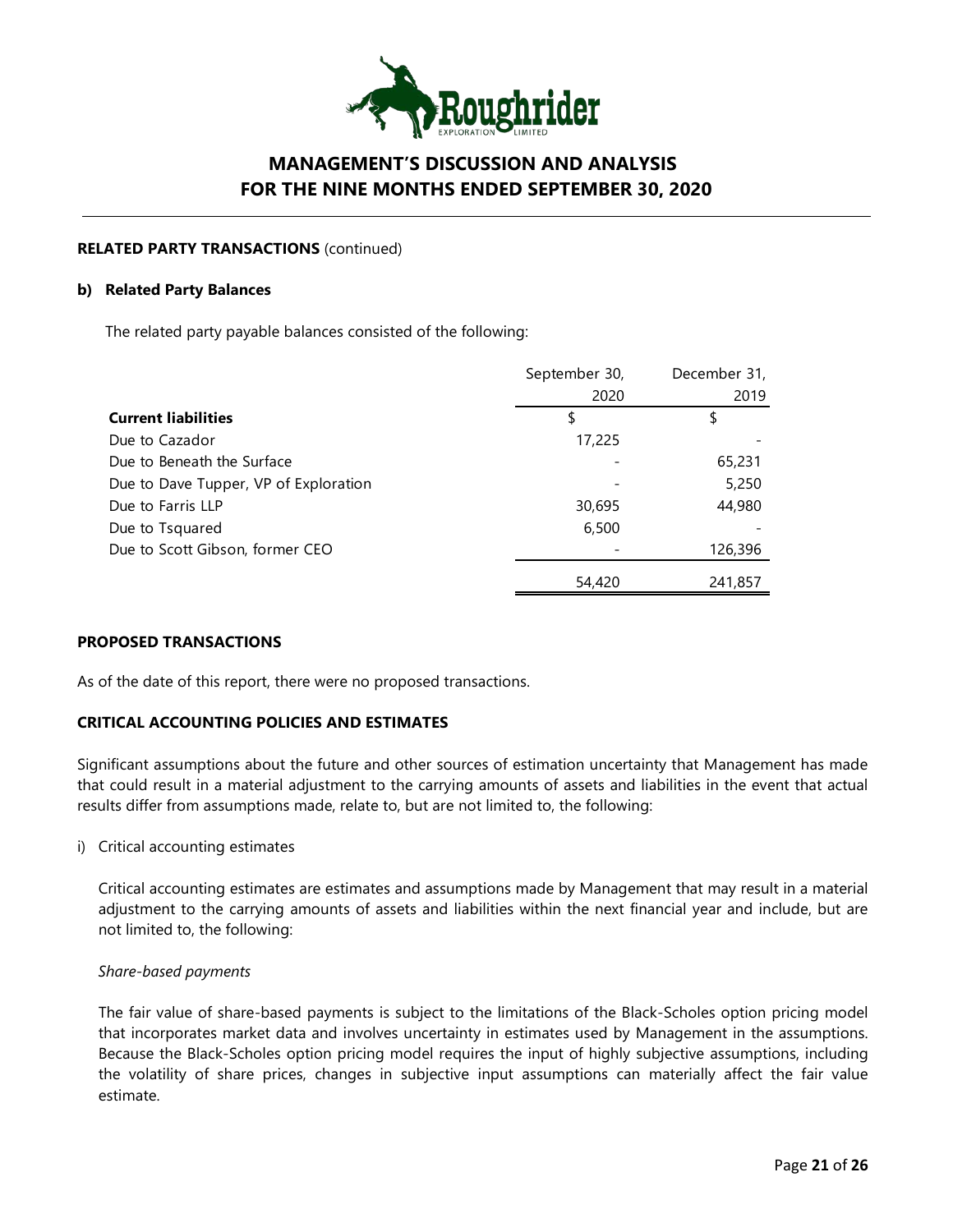

### **RELATED PARTY TRANSACTIONS** (continued)

#### **b) Related Party Balances**

The related party payable balances consisted of the following:

|                                       | September 30, | December 31, |
|---------------------------------------|---------------|--------------|
|                                       | 2020          | 2019         |
| <b>Current liabilities</b>            | \$            | \$           |
| Due to Cazador                        | 17,225        |              |
| Due to Beneath the Surface            |               | 65,231       |
| Due to Dave Tupper, VP of Exploration |               | 5,250        |
| Due to Farris LLP                     | 30,695        | 44,980       |
| Due to Tsquared                       | 6,500         |              |
| Due to Scott Gibson, former CEO       |               | 126,396      |
|                                       | 54,420        | 241,857      |

### **PROPOSED TRANSACTIONS**

As of the date of this report, there were no proposed transactions.

### **CRITICAL ACCOUNTING POLICIES AND ESTIMATES**

Significant assumptions about the future and other sources of estimation uncertainty that Management has made that could result in a material adjustment to the carrying amounts of assets and liabilities in the event that actual results differ from assumptions made, relate to, but are not limited to, the following:

i) Critical accounting estimates

Critical accounting estimates are estimates and assumptions made by Management that may result in a material adjustment to the carrying amounts of assets and liabilities within the next financial year and include, but are not limited to, the following:

#### *Share-based payments*

The fair value of share-based payments is subject to the limitations of the Black-Scholes option pricing model that incorporates market data and involves uncertainty in estimates used by Management in the assumptions. Because the Black-Scholes option pricing model requires the input of highly subjective assumptions, including the volatility of share prices, changes in subjective input assumptions can materially affect the fair value estimate.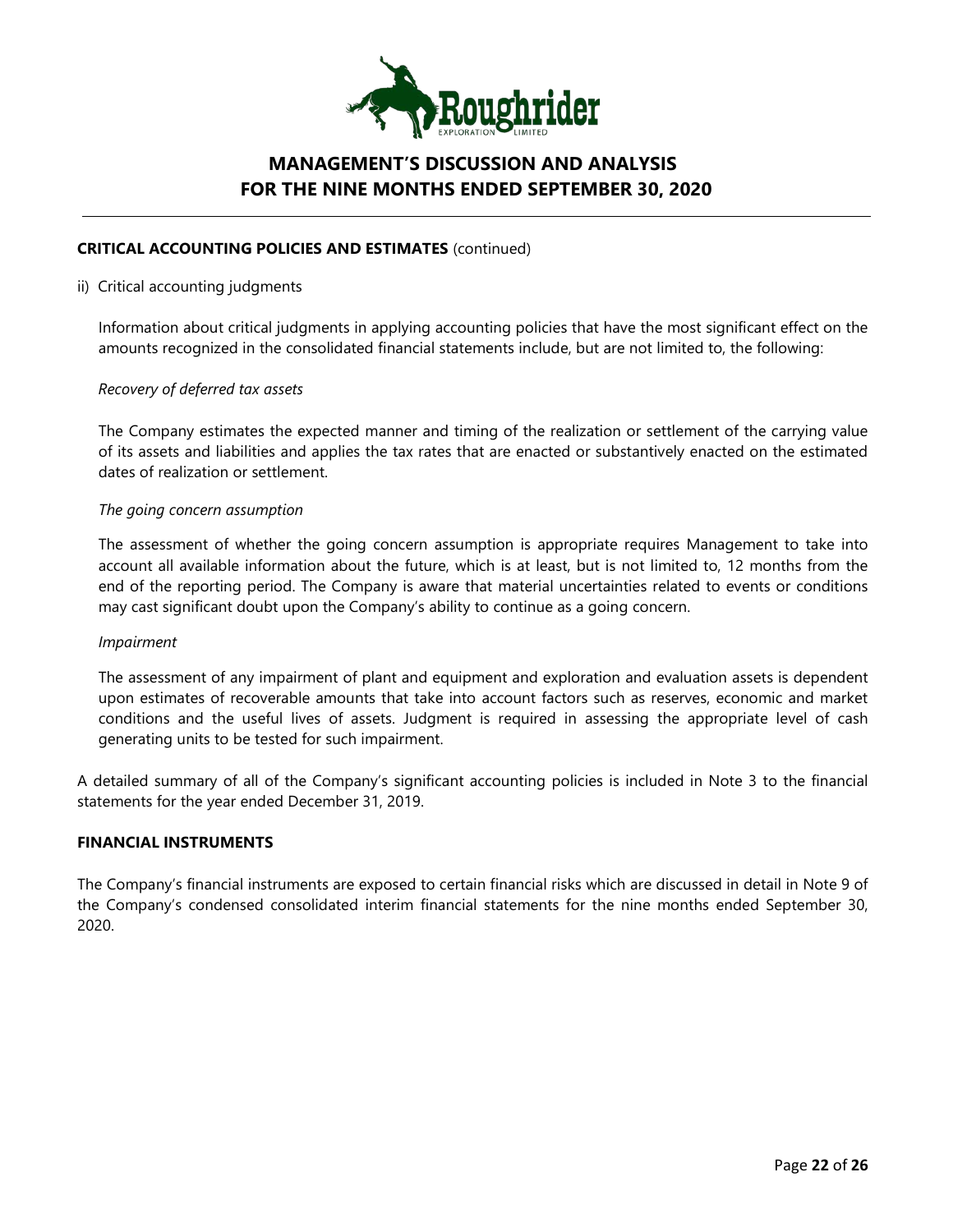

### **CRITICAL ACCOUNTING POLICIES AND ESTIMATES** (continued)

#### ii) Critical accounting judgments

Information about critical judgments in applying accounting policies that have the most significant effect on the amounts recognized in the consolidated financial statements include, but are not limited to, the following:

### *Recovery of deferred tax assets*

The Company estimates the expected manner and timing of the realization or settlement of the carrying value of its assets and liabilities and applies the tax rates that are enacted or substantively enacted on the estimated dates of realization or settlement.

#### *The going concern assumption*

The assessment of whether the going concern assumption is appropriate requires Management to take into account all available information about the future, which is at least, but is not limited to, 12 months from the end of the reporting period. The Company is aware that material uncertainties related to events or conditions may cast significant doubt upon the Company's ability to continue as a going concern.

#### *Impairment*

The assessment of any impairment of plant and equipment and exploration and evaluation assets is dependent upon estimates of recoverable amounts that take into account factors such as reserves, economic and market conditions and the useful lives of assets. Judgment is required in assessing the appropriate level of cash generating units to be tested for such impairment.

A detailed summary of all of the Company's significant accounting policies is included in Note 3 to the financial statements for the year ended December 31, 2019.

### **FINANCIAL INSTRUMENTS**

The Company's financial instruments are exposed to certain financial risks which are discussed in detail in Note 9 of the Company's condensed consolidated interim financial statements for the nine months ended September 30, 2020.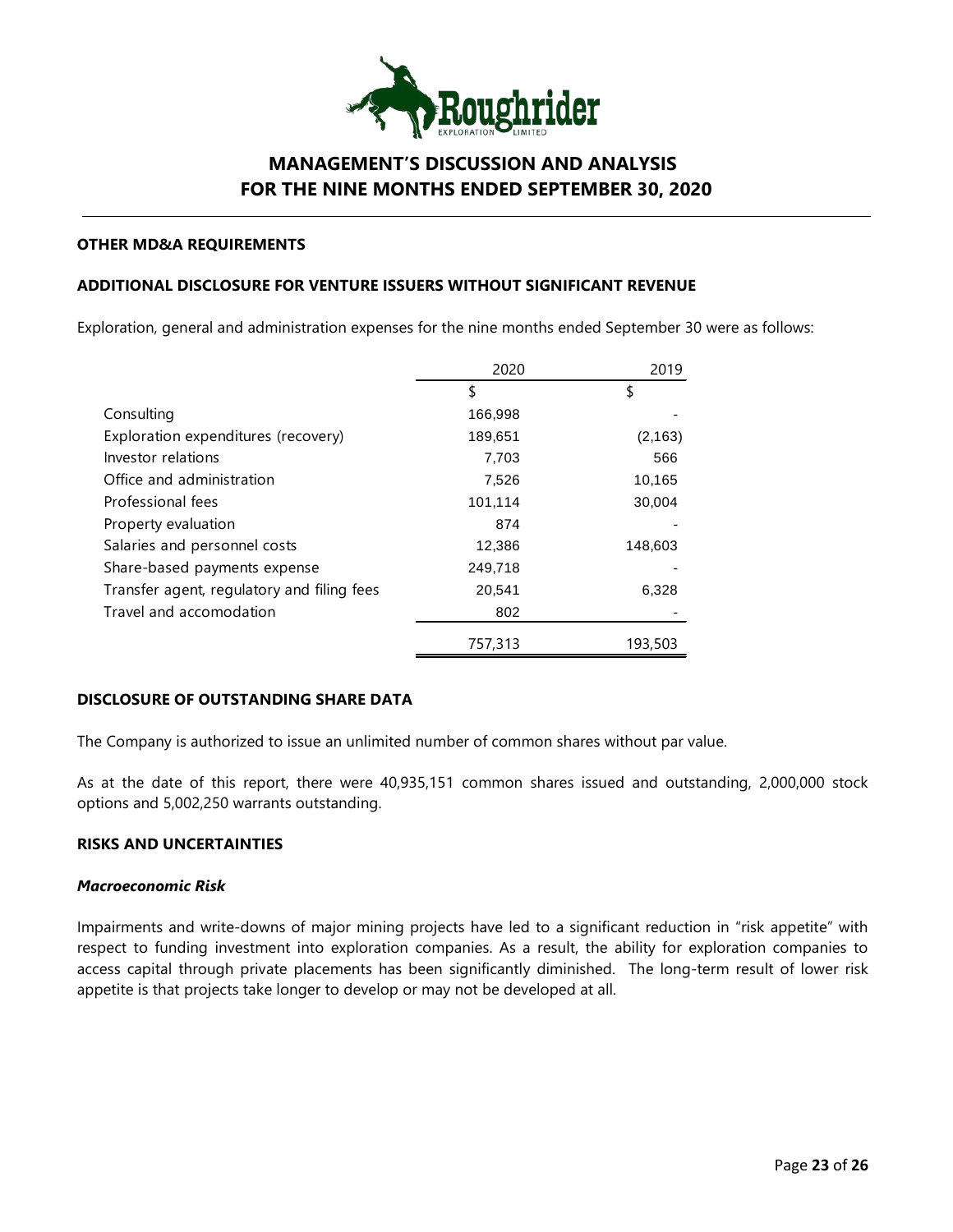

#### **OTHER MD&A REQUIREMENTS**

### **ADDITIONAL DISCLOSURE FOR VENTURE ISSUERS WITHOUT SIGNIFICANT REVENUE**

Exploration, general and administration expenses for the nine months ended September 30 were as follows:

|                                            | 2020    | 2019     |
|--------------------------------------------|---------|----------|
|                                            | \$      | \$       |
| Consulting                                 | 166,998 |          |
| Exploration expenditures (recovery)        | 189,651 | (2, 163) |
| Investor relations                         | 7,703   | 566      |
| Office and administration                  | 7,526   | 10,165   |
| Professional fees                          | 101,114 | 30,004   |
| Property evaluation                        | 874     |          |
| Salaries and personnel costs               | 12,386  | 148,603  |
| Share-based payments expense               | 249,718 |          |
| Transfer agent, regulatory and filing fees | 20,541  | 6,328    |
| Travel and accomodation                    | 802     |          |
|                                            | 757,313 | 193,503  |

### **DISCLOSURE OF OUTSTANDING SHARE DATA**

The Company is authorized to issue an unlimited number of common shares without par value.

As at the date of this report, there were 40,935,151 common shares issued and outstanding, 2,000,000 stock options and 5,002,250 warrants outstanding.

### **RISKS AND UNCERTAINTIES**

## *Macroeconomic Risk*

Impairments and write-downs of major mining projects have led to a significant reduction in "risk appetite" with respect to funding investment into exploration companies. As a result, the ability for exploration companies to access capital through private placements has been significantly diminished. The long-term result of lower risk appetite is that projects take longer to develop or may not be developed at all.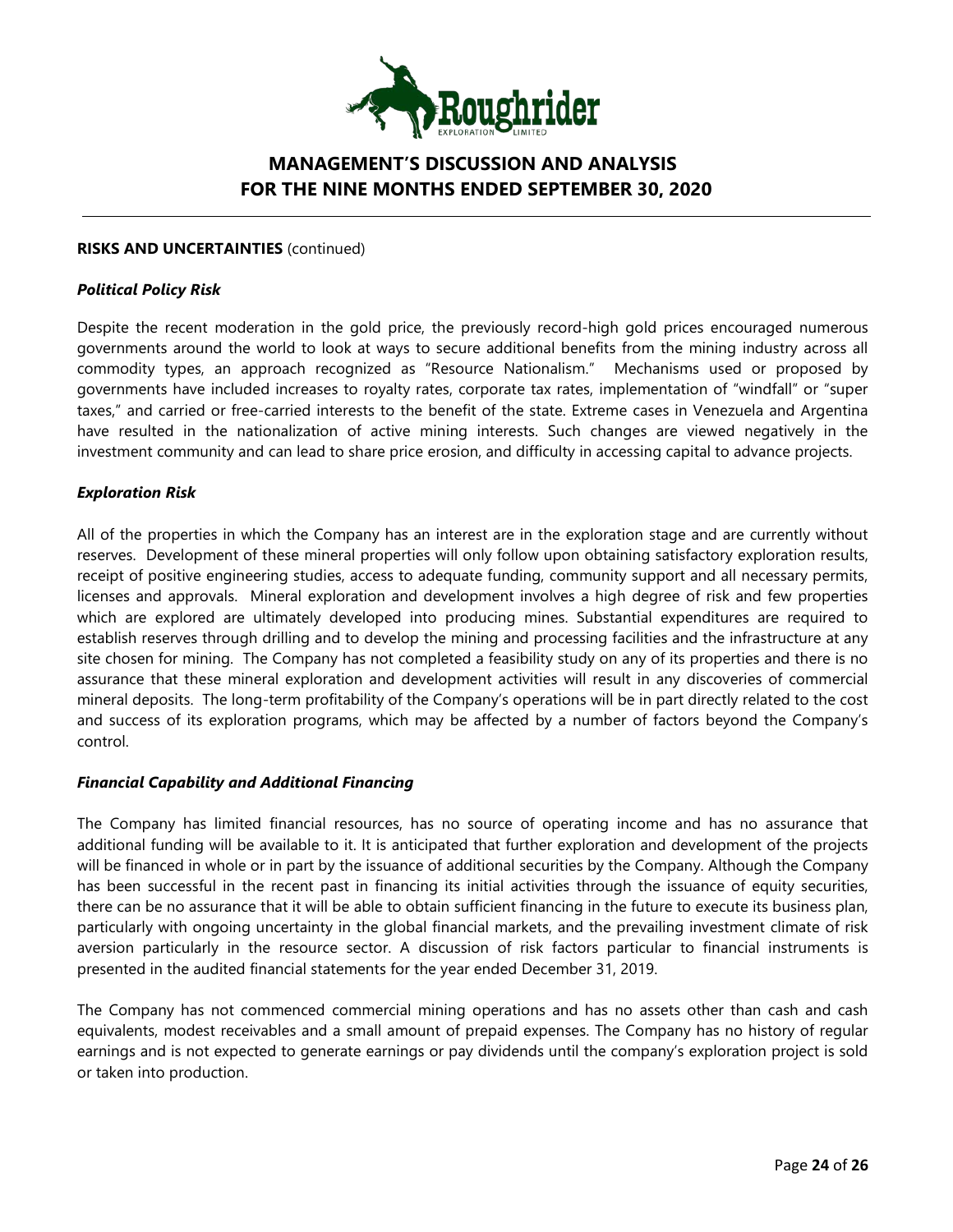

### **RISKS AND UNCERTAINTIES** (continued)

#### *Political Policy Risk*

Despite the recent moderation in the gold price, the previously record-high gold prices encouraged numerous governments around the world to look at ways to secure additional benefits from the mining industry across all commodity types, an approach recognized as "Resource Nationalism." Mechanisms used or proposed by governments have included increases to royalty rates, corporate tax rates, implementation of "windfall" or "super taxes," and carried or free-carried interests to the benefit of the state. Extreme cases in Venezuela and Argentina have resulted in the nationalization of active mining interests. Such changes are viewed negatively in the investment community and can lead to share price erosion, and difficulty in accessing capital to advance projects.

### *Exploration Risk*

All of the properties in which the Company has an interest are in the exploration stage and are currently without reserves. Development of these mineral properties will only follow upon obtaining satisfactory exploration results, receipt of positive engineering studies, access to adequate funding, community support and all necessary permits, licenses and approvals. Mineral exploration and development involves a high degree of risk and few properties which are explored are ultimately developed into producing mines. Substantial expenditures are required to establish reserves through drilling and to develop the mining and processing facilities and the infrastructure at any site chosen for mining. The Company has not completed a feasibility study on any of its properties and there is no assurance that these mineral exploration and development activities will result in any discoveries of commercial mineral deposits. The long-term profitability of the Company's operations will be in part directly related to the cost and success of its exploration programs, which may be affected by a number of factors beyond the Company's control.

#### *Financial Capability and Additional Financing*

The Company has limited financial resources, has no source of operating income and has no assurance that additional funding will be available to it. It is anticipated that further exploration and development of the projects will be financed in whole or in part by the issuance of additional securities by the Company. Although the Company has been successful in the recent past in financing its initial activities through the issuance of equity securities, there can be no assurance that it will be able to obtain sufficient financing in the future to execute its business plan, particularly with ongoing uncertainty in the global financial markets, and the prevailing investment climate of risk aversion particularly in the resource sector. A discussion of risk factors particular to financial instruments is presented in the audited financial statements for the year ended December 31, 2019.

The Company has not commenced commercial mining operations and has no assets other than cash and cash equivalents, modest receivables and a small amount of prepaid expenses. The Company has no history of regular earnings and is not expected to generate earnings or pay dividends until the company's exploration project is sold or taken into production.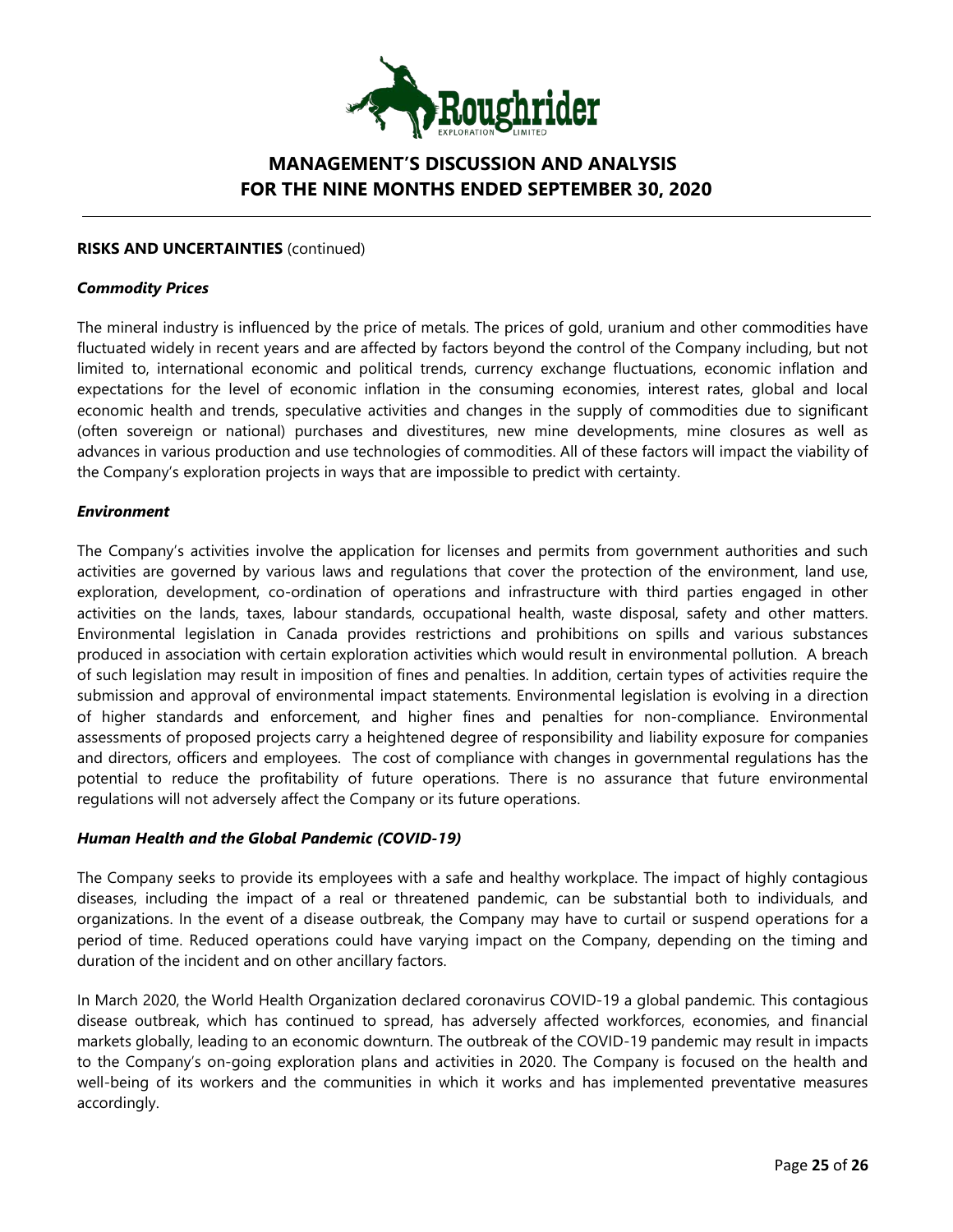

### **RISKS AND UNCERTAINTIES** (continued)

#### *Commodity Prices*

The mineral industry is influenced by the price of metals. The prices of gold, uranium and other commodities have fluctuated widely in recent years and are affected by factors beyond the control of the Company including, but not limited to, international economic and political trends, currency exchange fluctuations, economic inflation and expectations for the level of economic inflation in the consuming economies, interest rates, global and local economic health and trends, speculative activities and changes in the supply of commodities due to significant (often sovereign or national) purchases and divestitures, new mine developments, mine closures as well as advances in various production and use technologies of commodities. All of these factors will impact the viability of the Company's exploration projects in ways that are impossible to predict with certainty.

### *Environment*

The Company's activities involve the application for licenses and permits from government authorities and such activities are governed by various laws and regulations that cover the protection of the environment, land use, exploration, development, co-ordination of operations and infrastructure with third parties engaged in other activities on the lands, taxes, labour standards, occupational health, waste disposal, safety and other matters. Environmental legislation in Canada provides restrictions and prohibitions on spills and various substances produced in association with certain exploration activities which would result in environmental pollution. A breach of such legislation may result in imposition of fines and penalties. In addition, certain types of activities require the submission and approval of environmental impact statements. Environmental legislation is evolving in a direction of higher standards and enforcement, and higher fines and penalties for non-compliance. Environmental assessments of proposed projects carry a heightened degree of responsibility and liability exposure for companies and directors, officers and employees. The cost of compliance with changes in governmental regulations has the potential to reduce the profitability of future operations. There is no assurance that future environmental regulations will not adversely affect the Company or its future operations.

### *Human Health and the Global Pandemic (COVID-19)*

The Company seeks to provide its employees with a safe and healthy workplace. The impact of highly contagious diseases, including the impact of a real or threatened pandemic, can be substantial both to individuals, and organizations. In the event of a disease outbreak, the Company may have to curtail or suspend operations for a period of time. Reduced operations could have varying impact on the Company, depending on the timing and duration of the incident and on other ancillary factors.

In March 2020, the World Health Organization declared coronavirus COVID-19 a global pandemic. This contagious disease outbreak, which has continued to spread, has adversely affected workforces, economies, and financial markets globally, leading to an economic downturn. The outbreak of the COVID-19 pandemic may result in impacts to the Company's on-going exploration plans and activities in 2020. The Company is focused on the health and well-being of its workers and the communities in which it works and has implemented preventative measures accordingly.